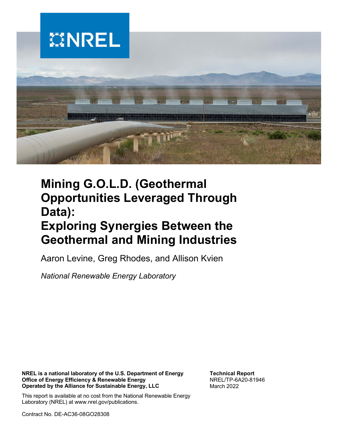

# **Mining G.O.L.D. (Geothermal Opportunities Leveraged Through Data): Exploring Synergies Between the Geothermal and Mining Industries**

Aaron Levine, Greg Rhodes, and Allison Kvien

*National Renewable Energy Laboratory*

**NREL is a national laboratory of the U.S. Department of Energy Office of Energy Efficiency & Renewable Energy Operated by the Alliance for Sustainable Energy, LLC**

**Technical Report** NREL/TP-6A20-81946 March 2022

This report is available at no cost from the National Renewable Energy Laboratory (NREL) at www.nrel.gov/publications.

Contract No. DE-AC36-08GO28308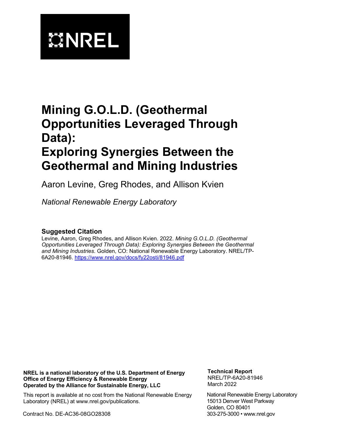

# **Mining G.O.L.D. (Geothermal Opportunities Leveraged Through Data):**

# **Exploring Synergies Between the Geothermal and Mining Industries**

Aaron Levine, Greg Rhodes, and Allison Kvien

*National Renewable Energy Laboratory*

### **Suggested Citation**

Levine, Aaron, Greg Rhodes, and Allison Kvien. 2022. *Mining G.O.L.D. (Geothermal Opportunities Leveraged Through Data): Exploring Synergies Between the Geothermal and Mining Industries*. Golden, CO: National Renewable Energy Laboratory. NREL/TP-6A20-81946.<https://www.nrel.gov/docs/fy22osti/81946.pdf>

**NREL is a national laboratory of the U.S. Department of Energy Office of Energy Efficiency & Renewable Energy Operated by the Alliance for Sustainable Energy, LLC**

**Technical Report** NREL/TP-6A20-81946 March 2022

This report is available at no cost from the National Renewable Energy Laboratory (NREL) at www.nrel.gov/publications.

Contract No. DE-AC36-08GO28308

National Renewable Energy Laboratory 15013 Denver West Parkway Golden, CO 80401 303-275-3000 • www.nrel.gov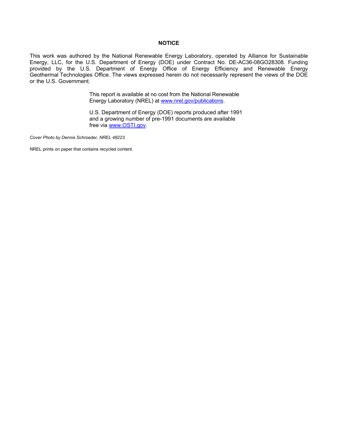#### **NOTICE**

This work was authored by the National Renewable Energy Laboratory, operated by Alliance for Sustainable Energy, LLC, for the U.S. Department of Energy (DOE) under Contract No. DE-AC36-08GO28308. Funding provided by the U.S. Department of Energy Office of Energy Efficiency and Renewable Energy Geothermal Technologies Office. The views expressed herein do not necessarily represent the views of the DOE or the U.S. Government.

> This report is available at no cost from the National Renewable Energy Laboratory (NREL) at [www.nrel.gov/publications.](http://www.nrel.gov/publications)

U.S. Department of Energy (DOE) reports produced after 1991 and a growing number of pre-1991 documents are available free via [www.OSTI.gov.](http://www.osti.gov/) 

*Cover Photo by Dennis Schroeder, NREL 48223.*

NREL prints on paper that contains recycled content.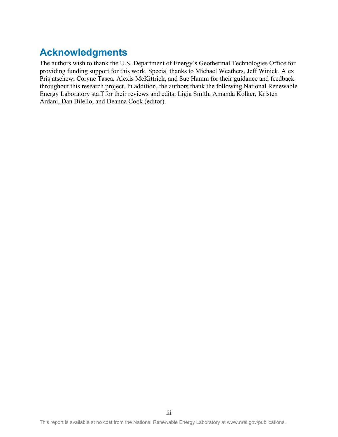# **Acknowledgments**

The authors wish to thank the U.S. Department of Energy's Geothermal Technologies Office for providing funding support for this work. Special thanks to Michael Weathers, Jeff Winick, Alex Prisjatschew, Coryne Tasca, Alexis McKittrick, and Sue Hamm for their guidance and feedback throughout this research project. In addition, the authors thank the following National Renewable Energy Laboratory staff for their reviews and edits: Ligia Smith, Amanda Kolker, Kristen Ardani, Dan Bilello, and Deanna Cook (editor).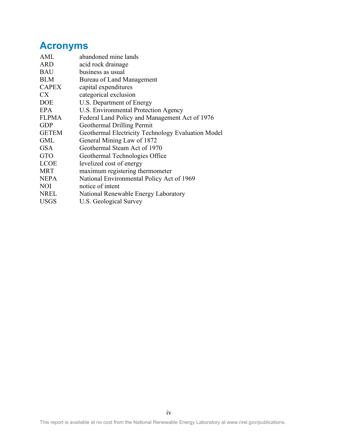# **Acronyms**

| AML          | abandoned mine lands                               |
|--------------|----------------------------------------------------|
| <b>ARD</b>   | acid rock drainage                                 |
| BAU          | business as usual                                  |
| <b>BLM</b>   | Bureau of Land Management                          |
| <b>CAPEX</b> | capital expenditures                               |
| <b>CX</b>    | categorical exclusion                              |
| <b>DOE</b>   | U.S. Department of Energy                          |
| <b>EPA</b>   | U.S. Environmental Protection Agency               |
| <b>FLPMA</b> | Federal Land Policy and Management Act of 1976     |
| <b>GDP</b>   | <b>Geothermal Drilling Permit</b>                  |
| <b>GETEM</b> | Geothermal Electricity Technology Evaluation Model |
| <b>GML</b>   | General Mining Law of 1872                         |
| <b>GSA</b>   | Geothermal Steam Act of 1970                       |
| <b>GTO</b>   | Geothermal Technologies Office                     |
| <b>LCOE</b>  | levelized cost of energy                           |
| <b>MRT</b>   | maximum registering thermometer                    |
| <b>NEPA</b>  | National Environmental Policy Act of 1969          |
| <b>NOI</b>   | notice of intent                                   |
| <b>NREL</b>  | National Renewable Energy Laboratory               |
| <b>USGS</b>  | U.S. Geological Survey                             |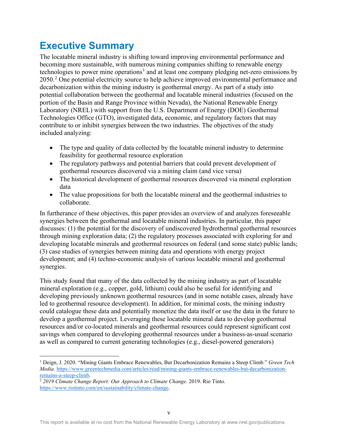# <span id="page-5-2"></span>**Executive Summary**

The locatable mineral industry is shifting toward improving environmental performance and becoming more sustainable, with numerous mining companies shifting to renewable energy technologies to power mine operations<sup>[1](#page-5-0)</sup> and at least one company pledging net-zero emissions by [2](#page-5-1)050.<sup>2</sup> One potential electricity source to help achieve improved environmental performance and decarbonization within the mining industry is geothermal energy. As part of a study into potential collaboration between the geothermal and locatable mineral industries (focused on the portion of the Basin and Range Province within Nevada), the National Renewable Energy Laboratory (NREL) with support from the U.S. Department of Energy (DOE) Geothermal Technologies Office (GTO), investigated data, economic, and regulatory factors that may contribute to or inhibit synergies between the two industries. The objectives of the study included analyzing:

- The type and quality of data collected by the locatable mineral industry to determine feasibility for geothermal resource exploration
- The regulatory pathways and potential barriers that could prevent development of geothermal resources discovered via a mining claim (and vice versa)
- The historical development of geothermal resources discovered via mineral exploration data
- The value propositions for both the locatable mineral and the geothermal industries to collaborate.

In furtherance of these objectives, this paper provides an overview of and analyzes foreseeable synergies between the geothermal and locatable mineral industries. In particular, this paper discusses: (1) the potential for the discovery of undiscovered hydrothermal geothermal resources through mining exploration data; (2) the regulatory processes associated with exploring for and developing locatable minerals and geothermal resources on federal (and some state) public lands; (3) case studies of synergies between mining data and operations with energy project development; and (4) techno-economic analysis of various locatable mineral and geothermal synergies.

This study found that many of the data collected by the mining industry as part of locatable mineral exploration (e.g., copper, gold, lithium) could also be useful for identifying and developing previously unknown geothermal resources (and in some notable cases, already have led to geothermal resource development). In addition, for minimal costs, the mining industry could catalogue these data and potentially monetize the data itself or use the data in the future to develop a geothermal project. Leveraging these locatable mineral data to develop geothermal resources and/or co-located minerals and geothermal resources could represent significant cost savings when compared to developing geothermal resources under a business-as-usual scenario as well as compared to current generating technologies (e.g., diesel-powered generators)

<span id="page-5-0"></span><sup>1</sup> Deign, J. 2020. "Mining Giants Embrace Renewables, But Decarbonization Remains a Steep Climb." *Green Tech Media*[. https://www.greentechmedia.com/articles/read/mining-giants-embrace-renewables-but-decarbonization](https://www.greentechmedia.com/articles/read/mining-giants-embrace-renewables-but-decarbonization-remains-a-steep-climb)[remains-a-steep-climb.](https://www.greentechmedia.com/articles/read/mining-giants-embrace-renewables-but-decarbonization-remains-a-steep-climb) 2 *<sup>2019</sup> Climate Change Report: Our Approach to Climate Change*. 2019. Rio Tinto.

<span id="page-5-1"></span>[https://www.riotinto.com/en/sustainability/climate-change.](https://www.riotinto.com/en/sustainability/climate-change)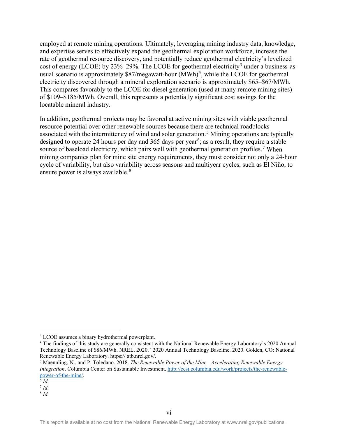employed at remote mining operations. Ultimately, leveraging mining industry data, knowledge, and expertise serves to effectively expand the geothermal exploration workforce, increase the rate of geothermal resource discovery, and potentially reduce geothermal electricity's levelized cost of energy (LCOE) by 2[3](#page-6-0)%–29%. The LCOE for geothermal electricity<sup>3</sup> under a business-asusual scenario is approximately  $$87/megaw$ att-hour  $(MWh)^4$  $(MWh)^4$ , while the LCOE for geothermal electricity discovered through a mineral exploration scenario is approximately \$65–\$67/MWh. This compares favorably to the LCOE for diesel generation (used at many remote mining sites) of \$109–\$185/MWh. Overall, this represents a potentially significant cost savings for the locatable mineral industry.

In addition, geothermal projects may be favored at active mining sites with viable geothermal resource potential over other renewable sources because there are technical roadblocks associated with the intermittency of wind and solar generation.<sup>[5](#page-6-2)</sup> Mining operations are typically designed to operate 24 hours per day and 3[6](#page-6-3)5 days per year<sup>6</sup>; as a result, they require a stable source of baseload electricity, which pairs well with geothermal generation profiles.<sup>[7](#page-6-4)</sup> When mining companies plan for mine site energy requirements, they must consider not only a 24-hour cycle of variability, but also variability across seasons and multiyear cycles, such as El Niño, to ensure power is always available.<sup>[8](#page-6-5)</sup>

<span id="page-6-0"></span><sup>&</sup>lt;sup>3</sup> LCOE assumes a binary hydrothermal powerplant.

<span id="page-6-1"></span><sup>&</sup>lt;sup>4</sup> The findings of this study are generally consistent with the National Renewable Energy Laboratory's 2020 Annual Technology Baseline of \$86/MWh. NREL. 2020. "2020 Annual Technology Baseline. 2020. Golden, CO: National Renewable Energy Laboratory. https:// atb.nrel.gov/.

<span id="page-6-2"></span><sup>5</sup> Maennling, N., and P. Toledano. 2018. *The Renewable Power of the Mine—Accelerating Renewable Energy Integration*. Columbia Center on Sustainable Investment[. http://ccsi.columbia.edu/work/projects/the-renewable](http://ccsi.columbia.edu/work/projects/the-renewable-power-of-the-mine/)[power-of-the-mine/.](http://ccsi.columbia.edu/work/projects/the-renewable-power-of-the-mine/) 6 *Id.*

<span id="page-6-4"></span><span id="page-6-3"></span>

 $^7$  *Id.* 

<span id="page-6-5"></span><sup>8</sup> *Id.*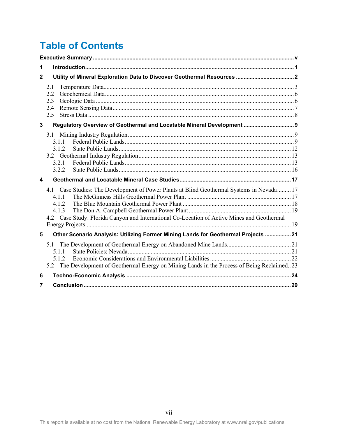# **Table of Contents**

| 1                |                                 |                                                                                                                                                                                                                      |  |  |  |
|------------------|---------------------------------|----------------------------------------------------------------------------------------------------------------------------------------------------------------------------------------------------------------------|--|--|--|
| $\mathbf{2}$     |                                 |                                                                                                                                                                                                                      |  |  |  |
|                  | 2.1<br>2.2<br>2.3<br>2.4<br>2.5 |                                                                                                                                                                                                                      |  |  |  |
| 3                |                                 | Regulatory Overview of Geothermal and Locatable Mineral Development  9                                                                                                                                               |  |  |  |
|                  | 3.1                             | 3.1.1<br>3.1.2<br>3.2.1<br>3.2.2                                                                                                                                                                                     |  |  |  |
| $\blacktriangle$ |                                 |                                                                                                                                                                                                                      |  |  |  |
|                  |                                 | 4.1 Case Studies: The Development of Power Plants at Blind Geothermal Systems in Nevada 17<br>4.1.1<br>4.1.2<br>4.1.3<br>4.2 Case Study: Florida Canyon and International Co-Location of Active Mines and Geothermal |  |  |  |
| 5                |                                 | Other Scenario Analysis: Utilizing Former Mining Lands for Geothermal Projects 21                                                                                                                                    |  |  |  |
|                  |                                 | 5.1.1<br>5.1.2<br>5.2 The Development of Geothermal Energy on Mining Lands in the Process of Being Reclaimed23                                                                                                       |  |  |  |
| 6                |                                 |                                                                                                                                                                                                                      |  |  |  |
| 7                |                                 |                                                                                                                                                                                                                      |  |  |  |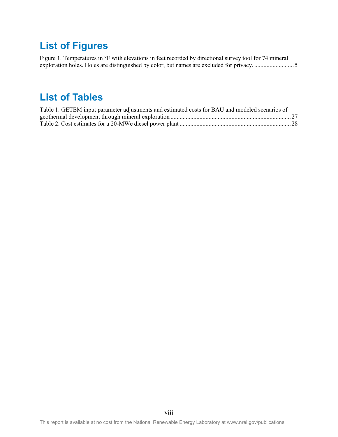# **List of Figures**

[Figure 1. Temperatures in °F with elevations in feet recorded by directional survey tool for 74 mineral](#page-13-0)  [exploration holes. Holes are distinguished by color, but names are excluded for privacy. .......................... 5](#page-13-0)

# **List of Tables**

| Table 1. GETEM input parameter adjustments and estimated costs for BAU and modeled scenarios of |  |
|-------------------------------------------------------------------------------------------------|--|
|                                                                                                 |  |
|                                                                                                 |  |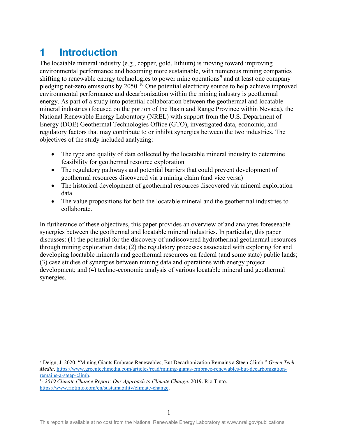# <span id="page-9-0"></span>**1 Introduction**

The locatable mineral industry (e.g., copper, gold, lithium) is moving toward improving environmental performance and becoming more sustainable, with numerous mining companies shifting to renewable energy technologies to power mine operations<sup>[9](#page-9-1)</sup> and at least one company pledging net-zero emissions by 2050.[10](#page-9-2) One potential electricity source to help achieve improved environmental performance and decarbonization within the mining industry is geothermal energy. As part of a study into potential collaboration between the geothermal and locatable mineral industries (focused on the portion of the Basin and Range Province within Nevada), the National Renewable Energy Laboratory (NREL) with support from the U.S. Department of Energy (DOE) Geothermal Technologies Office (GTO), investigated data, economic, and regulatory factors that may contribute to or inhibit synergies between the two industries. The objectives of the study included analyzing:

- The type and quality of data collected by the locatable mineral industry to determine feasibility for geothermal resource exploration
- The regulatory pathways and potential barriers that could prevent development of geothermal resources discovered via a mining claim (and vice versa)
- The historical development of geothermal resources discovered via mineral exploration data
- The value propositions for both the locatable mineral and the geothermal industries to collaborate.

In furtherance of these objectives, this paper provides an overview of and analyzes foreseeable synergies between the geothermal and locatable mineral industries. In particular, this paper discusses: (1) the potential for the discovery of undiscovered hydrothermal geothermal resources through mining exploration data; (2) the regulatory processes associated with exploring for and developing locatable minerals and geothermal resources on federal (and some state) public lands; (3) case studies of synergies between mining data and operations with energy project development; and (4) techno-economic analysis of various locatable mineral and geothermal synergies.

<span id="page-9-1"></span><sup>9</sup> Deign, J. 2020. "Mining Giants Embrace Renewables, But Decarbonization Remains a Steep Climb." *Green Tech Media*[. https://www.greentechmedia.com/articles/read/mining-giants-embrace-renewables-but-decarbonization](https://www.greentechmedia.com/articles/read/mining-giants-embrace-renewables-but-decarbonization-remains-a-steep-climb)[remains-a-steep-climb.](https://www.greentechmedia.com/articles/read/mining-giants-embrace-renewables-but-decarbonization-remains-a-steep-climb) 10 *<sup>2019</sup> Climate Change Report: Our Approach to Climate Change*. 2019. Rio Tinto.

<span id="page-9-2"></span>[https://www.riotinto.com/en/sustainability/climate-change.](https://www.riotinto.com/en/sustainability/climate-change)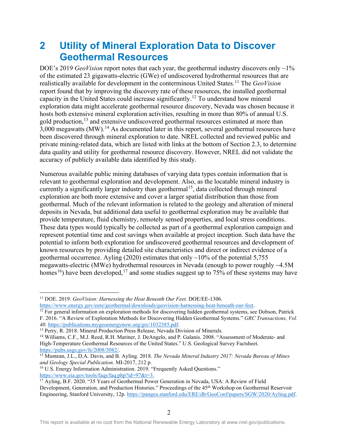## <span id="page-10-0"></span>**2 Utility of Mineral Exploration Data to Discover Geothermal Resources**

DOE's 2019 *GeoVision* report notes that each year, the geothermal industry discovers only  $\sim$ 1% of the estimated 23 gigawatts-electric (GWe) of undiscovered hydrothermal resources that are realistically available for development in the conterminous United States.[11](#page-10-1) The *GeoVision* report found that by improving the discovery rate of these resources, the installed geothermal capacity in the United States could increase significantly.[12](#page-10-2) To understand how mineral exploration data might accelerate geothermal resource discovery, Nevada was chosen because it hosts both extensive mineral exploration activities, resulting in more than 80% of annual U.S. gold production,<sup>[13](#page-10-3)</sup> and extensive undiscovered geothermal resources estimated at more than  $3,000$  megawatts (MW).<sup>[14](#page-10-4)</sup> As documented later in this report, several geothermal resources have been discovered through mineral exploration to date. NREL collected and reviewed public and private mining-related data, which are listed with links at the bottom of Section 2.3, to determine data quality and utility for geothermal resource discovery. However, NREL did not validate the accuracy of publicly available data identified by this study.

Numerous available public mining databases of varying data types contain information that is relevant to geothermal exploration and development. Also, as the locatable mineral industry is currently a significantly larger industry than geothermal<sup>[15](#page-10-5)</sup>, data collected through mineral exploration are both more extensive and cover a larger spatial distribution than those from geothermal. Much of the relevant information is related to the geology and alteration of mineral deposits in Nevada, but additional data useful to geothermal exploration may be available that provide temperature, fluid chemistry, remotely sensed properties, and local stress conditions. These data types would typically be collected as part of a geothermal exploration campaign and represent potential time and cost savings when available at project inception. Such data have the potential to inform both exploration for undiscovered geothermal resources and development of known resources by providing detailed site characteristics and direct or indirect evidence of a geothermal occurrence. Ayling (2020) estimates that only  $\sim$ 10% of the potential 5,755 megawatts-electric (MWe) hydrothermal resources in Nevada (enough to power roughly ~4.5M homes<sup>16</sup>) have been developed,<sup>[17](#page-10-7)</sup> and some studies suggest up to 75% of these systems may have

<span id="page-10-1"></span><sup>11</sup> DOE. 2019. *GeoVision: Harnessing the Heat Beneath Our Feet*. DOE/EE-1306.

<span id="page-10-2"></span> $\frac{12}{12}$  For general information on exploration methods for discovering hidden geothermal systems, see Dobson, Patrick F. 2016. "A Review of Exploration Methods for Discovering Hidden Geothermal Systems." *GRC Transactions, Vol.* 

<span id="page-10-4"></span><span id="page-10-3"></span><sup>&</sup>lt;sup>13</sup> Perry, R. 2018. Mineral Production Press Release, Nevada Division of Minerals.<br><sup>14</sup> Williams, C.F., M.J. Reed, R.H. Mariner, J. DeAngelo, and P. Galanis. 2008. "Assessment of Moderate- and High-Temperature Geothermal Resources of the United States." U.S. Geological Survey Factsheet.<br>https://pubs.usgs.gov/fs/2008/3082/.

<span id="page-10-5"></span><sup>&</sup>lt;sup>15</sup> Muntean, J.L., D.A. Davis, and B. Ayling. 2018. *The Nevada Mineral Industry 2017: Nevada Bureau of Mines and Geology Special Publication.* MI-2017, 212 p.

<span id="page-10-6"></span><sup>&</sup>lt;sup>16</sup> U.S. Energy Information Administration. 2019. "Frequently Asked Questions." [https://www.eia.gov/tools/faqs/faq.php?id=97&t=3.](https://www.eia.gov/tools/faqs/faq.php?id=97&t=3)

<span id="page-10-7"></span><sup>&</sup>lt;sup>17</sup> Ayling, B.F. 2020. "35 Years of Geothermal Power Generation in Nevada, USA: A Review of Field Development, Generation, and Production Histories." Proceedings of the 45<sup>th</sup> Workshop on Geothermal Reservoir Engineering, Stanford University, 12p. [https://pangea.stanford.edu/ERE/db/GeoConf/papers/SGW/2020/Ayling.pdf.](https://pangea.stanford.edu/ERE/db/GeoConf/papers/SGW/2020/Ayling.pdf)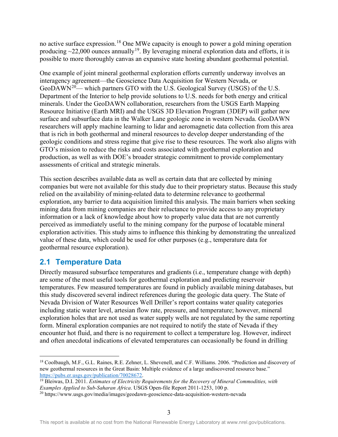no active surface expression.[18](#page-11-1) One MWe capacity is enough to power a gold mining operation producing  $\sim$ 22,000 ounces annually<sup>[19](#page-11-2)</sup>. By leveraging mineral exploration data and efforts, it is possible to more thoroughly canvas an expansive state hosting abundant geothermal potential.

One example of joint mineral geothermal exploration efforts currently underway involves an interagency agreement—the Geoscience Data Acquisition for Western Nevada, or GeoDAWN<sup>[20](#page-11-3)</sup>— which partners GTO with the U.S. Geological Survey (USGS) of the U.S. Department of the Interior to help provide solutions to U.S. needs for both energy and critical minerals. Under the GeoDAWN collaboration, researchers from the USGS Earth Mapping Resource Initiative (Earth MRI) and the USGS 3D Elevation Program (3DEP) will gather new surface and subsurface data in the Walker Lane geologic zone in western Nevada. GeoDAWN researchers will apply machine learning to lidar and aeromagnetic data collection from this area that is rich in both geothermal and mineral resources to develop deeper understanding of the geologic conditions and stress regime that give rise to these resources. The work also aligns with GTO's mission to reduce the risks and costs associated with geothermal exploration and production, as well as with DOE's broader strategic commitment to provide complementary assessments of critical and strategic minerals.

This section describes available data as well as certain data that are collected by mining companies but were not available for this study due to their proprietary status. Because this study relied on the availability of mining-related data to determine relevance to geothermal exploration, any barrier to data acquisition limited this analysis. The main barriers when seeking mining data from mining companies are their reluctance to provide access to any proprietary information or a lack of knowledge about how to properly value data that are not currently perceived as immediately useful to the mining company for the purpose of locatable mineral exploration activities. This study aims to influence this thinking by demonstrating the unrealized value of these data, which could be used for other purposes (e.g., temperature data for geothermal resource exploration).

### <span id="page-11-0"></span>**2.1 Temperature Data**

Directly measured subsurface temperatures and gradients (i.e., temperature change with depth) are some of the most useful tools for geothermal exploration and predicting reservoir temperatures. Few measured temperatures are found in publicly available mining databases, but this study discovered several indirect references during the geologic data query. The State of Nevada Division of Water Resources Well Driller's report contains water quality categories including static water level, artesian flow rate, pressure, and temperature; however, mineral exploration holes that are not used as water supply wells are not regulated by the same reporting form. Mineral exploration companies are not required to notify the state of Nevada if they encounter hot fluid, and there is no requirement to collect a temperature log. However, indirect and often anecdotal indications of elevated temperatures can occasionally be found in drilling

<span id="page-11-1"></span><sup>&</sup>lt;sup>18</sup> Coolbaugh, M.F., G.L. Raines, R.E. Zehner, L. Shevenell, and C.F. Williams. 2006. "Prediction and discovery of new geothermal resources in the Great Basin: Multiple evidence of a large undiscovered resource base." [https://pubs.er.usgs.gov/publication/70028672.](https://pubs.er.usgs.gov/publication/70028672) 19 Bleiwas, D.I. 2011. *Estimates of Electricity Requirements for the Recovery of Mineral Commodities, with* 

<span id="page-11-2"></span>*Examples Applied to Sub-Saharan Africa*. USGS Open-file Report 2011-1253, 100 p.

<span id="page-11-3"></span><sup>20</sup> https://www.usgs.gov/media/images/geodawn-geoscience-data-acquisition-western-nevada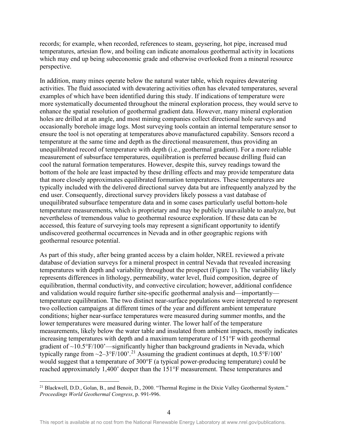records; for example, when recorded, references to steam, geysering, hot pipe, increased mud temperatures, artesian flow, and boiling can indicate anomalous geothermal activity in locations which may end up being subeconomic grade and otherwise overlooked from a mineral resource perspective.

In addition, many mines operate below the natural water table, which requires dewatering activities. The fluid associated with dewatering activities often has elevated temperatures, several examples of which have been identified during this study. If indications of temperature were more systematically documented throughout the mineral exploration process, they would serve to enhance the spatial resolution of geothermal gradient data. However, many mineral exploration holes are drilled at an angle, and most mining companies collect directional hole surveys and occasionally borehole image logs. Most surveying tools contain an internal temperature sensor to ensure the tool is not operating at temperatures above manufactured capability. Sensors record a temperature at the same time and depth as the directional measurement, thus providing an unequilibrated record of temperature with depth (i.e., geothermal gradient). For a more reliable measurement of subsurface temperatures, equilibration is preferred because drilling fluid can cool the natural formation temperatures. However, despite this, survey readings toward the bottom of the hole are least impacted by these drilling effects and may provide temperature data that more closely approximates equilibrated formation temperatures. These temperatures are typically included with the delivered directional survey data but are infrequently analyzed by the end user. Consequently, directional survey providers likely possess a vast database of unequilibrated subsurface temperature data and in some cases particularly useful bottom-hole temperature measurements, which is proprietary and may be publicly unavailable to analyze, but nevertheless of tremendous value to geothermal resource exploration. If these data can be accessed, this feature of surveying tools may represent a significant opportunity to identify undiscovered geothermal occurrences in Nevada and in other geographic regions with geothermal resource potential.

As part of this study, after being granted access by a claim holder, NREL reviewed a private database of deviation surveys for a mineral prospect in central Nevada that revealed increasing temperatures with depth and variability throughout the prospect [\(Figure 1\)](#page-13-0). The variability likely represents differences in lithology, permeability, water level, fluid composition, degree of equilibration, thermal conductivity, and convective circulation; however, additional confidence and validation would require further site-specific geothermal analysis and—importantly temperature equilibration. The two distinct near-surface populations were interpreted to represent two collection campaigns at different times of the year and different ambient temperature conditions; higher near-surface temperatures were measured during summer months, and the lower temperatures were measured during winter. The lower half of the temperature measurements, likely below the water table and insulated from ambient impacts, mostly indicates increasing temperatures with depth and a maximum temperature of 151°F with geothermal gradient of  $\sim$ 10.5°F/100'—significantly higher than background gradients in Nevada, which typically range from  $\sim$ 2–3°F/100'.<sup>[21](#page-12-0)</sup> Assuming the gradient continues at depth, 10.5°F/100' would suggest that a temperature of 300°F (a typical power-producing temperature) could be reached approximately 1,400' deeper than the 151°F measurement. These temperatures and

<span id="page-12-0"></span><sup>&</sup>lt;sup>21</sup> Blackwell, D.D., Golan, B., and Benoit, D., 2000. "Thermal Regime in the Dixie Valley Geothermal System." *Proceedings World Geothermal Congress*, p. 991-996.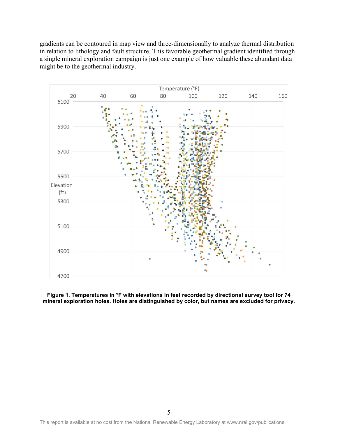gradients can be contoured in map view and three-dimensionally to analyze thermal distribution in relation to lithology and fault structure. This favorable geothermal gradient identified through a single mineral exploration campaign is just one example of how valuable these abundant data might be to the geothermal industry.



<span id="page-13-0"></span>**Figure 1. Temperatures in °F with elevations in feet recorded by directional survey tool for 74 mineral exploration holes. Holes are distinguished by color, but names are excluded for privacy.**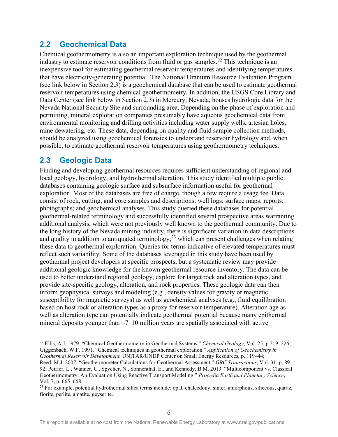## <span id="page-14-0"></span>**2.2 Geochemical Data**

Chemical geothermometry is also an important exploration technique used by the geothermal industry to estimate reservoir conditions from fluid or gas samples.<sup>22</sup> This technique is an inexpensive tool for estimating geothermal reservoir temperatures and identifying temperatures that have electricity-generating potential. The National Uranium Resource Evaluation Program (see link below in Section 2.3) is a geochemical database that can be used to estimate geothermal reservoir temperatures using chemical geothermometry. In addition, the USGS Core Library and Data Center (see link below in Section 2.3) in Mercury, Nevada, houses hydrologic data for the Nevada National Security Site and surrounding area. Depending on the phase of exploration and permitting, mineral exploration companies presumably have aqueous geochemical data from environmental monitoring and drilling activities including water supply wells, artesian holes, mine dewatering, etc. These data, depending on quality and fluid sample collection methods, should be analyzed using geochemical forensics to understand reservoir hydrology and, when possible, to estimate geothermal reservoir temperatures using geothermometry techniques.

### <span id="page-14-1"></span>**2.3 Geologic Data**

Finding and developing geothermal resources requires sufficient understanding of regional and local geology, hydrology, and hydrothermal alteration. This study identified multiple public databases containing geologic surface and subsurface information useful for geothermal exploration. Most of the databases are free of charge, though a few require a usage fee. Data consist of rock, cutting, and core samples and descriptions; well logs; surface maps; reports; photographs; and geochemical analyses. This study queried these databases for potential geothermal-related terminology and successfully identified several prospective areas warranting additional analysis, which were not previously well known to the geothermal community. Due to the long history of the Nevada mining industry, there is significant variation in data descriptions and quality in addition to antiquated terminology,<sup>[23](#page-14-3)</sup> which can present challenges when relating these data to geothermal exploration. Queries for terms indicative of elevated temperatures must reflect such variability. Some of the databases leveraged in this study have been used by geothermal project developers at specific prospects, but a systematic review may provide additional geologic knowledge for the known geothermal resource inventory. The data can be used to better understand regional geology, explore for target rock and alteration types, and provide site-specific geology, alteration, and rock properties. These geologic data can then inform geophysical surveys and modeling (e.g., density values for gravity or magnetic susceptibility for magnetic surveys) as well as geochemical analyses (e.g., fluid equilibration based on host rock or alteration types as a proxy for reservoir temperature). Alteration age as well as alteration type can potentially indicate geothermal potential because many epithermal mineral deposits younger than  $\sim$ 7–10 million years are spatially associated with active

<span id="page-14-2"></span><sup>22</sup> Ellis, A.J. 1979. "Chemical Geothermometry in Geothermal Systems." *Chemical Geology*, Vol. 25, p 219–226; Giggenbach, W.F. 1991. "Chemical techniques in geothermal exploration." *Application of Geochemistry in Geothermal Reservoir Development.* UNITAR/UNDP Center on Small Energy Resources, p. 119–44;

Reed, M.J. 2007. "Geothermometer Calculations for Geothermal Assessment." *GRC Transactions*, Vol. 31, p. 89– 92; Peiffer, L., Wanner, C., Spycher, N., Sonnenthal, E., and Kennedy, B.M. 2013. "Multicomponent vs. Classical Geothermometry: An Evaluation Using Reactive Transport Modeling." *Procedia Earth and Planetary Science*, Vol. 7, p. 665–668.

<span id="page-14-3"></span><sup>&</sup>lt;sup>23</sup> For example, potential hydrothermal silica terms include: opal, chalcedony, sinter, amorphous, siliceous, quartz, fiorite, perlite, amatite, geyserite.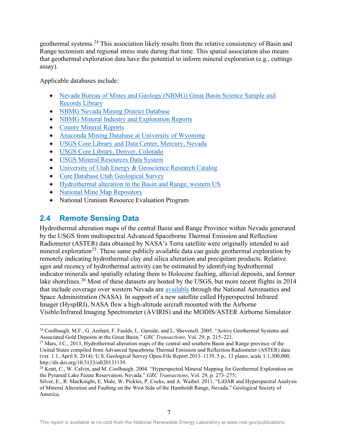geothermal systems.[24](#page-15-1) This association likely results from the relative consistency of Basin and Range tectonism and regional stress state during that time. This spatial association also means that geothermal exploration data have the potential to inform mineral exploration (e.g., cuttings assay).

Applicable databases include:

- Nevada Bureau of Mines and Geology (NBMG) Great Basin Science Sample and [Records Library](http://www.nbmg.unr.edu/Collections/Specimens/Specimens_NBMG.html)
- [NBMG Nevada Mining District Database](http://www.nbmg.unr.edu/Collections/MiningDistricts/MiningDistricts.html)
- [NBMG Mineral Industry and Exploration Reports](https://pubs.nbmg.unr.edu/Mineral-Industry-s/1860.htm)
- [County Mineral Reports](https://pubs.nbmg.unr.edu/Bulletins-s/1852.htm)
- [Anaconda Mining Database at University of Wyoming](http://www.uwyo.edu/ahc/collections/anaconda/)
- USGS Core Library and [Data Center, Mercury, Nevada](https://www.sciencebase.gov/mercury/#/)
- [USGS Core Library, Denver, Colorado](https://www.usgs.gov/core-science-systems/nggdp/core-research-center)
- [USGS Mineral Resources Data System](https://mrdata.usgs.gov/mrds/)
- [University of Utah Energy & Geoscience Research Catalog](https://egi.utah.edu/research/research-overviews/)
- [Core Database Utah Geological Survey](https://geology.utah.gov/resources/data-databases/)
- [Hydrothermal alteration in the Basin and Range, western US](https://mrdata.usgs.gov/surficial-mineralogy/ofr-2013-1139/)
- [National Mine Map Repository](https://mmr.osmre.gov/)
- National Uranium Resource Evaluation Program

## <span id="page-15-0"></span>**2.4 Remote Sensing Data**

Hydrothermal alteration maps of the central Basin and Range Province within Nevada generated by the USGS from multispectral Advanced Spaceborne Thermal Emission and Reflection Radiometer (ASTER) data obtained by NASA's Terra satellite were originally intended to aid mineral exploration<sup>25</sup>. These same publicly available data can guide geothermal exploration by remotely indicating hydrothermal clay and silica alteration and precipitant products. Relative ages and recency of hydrothermal activity can be estimated by identifying hydrothermal indicator minerals and spatially relating them to Holocene faulting, alluvial deposits, and former lake shorelines.<sup>[26](#page-15-3)</sup> Most of these datasets are hosted by the USGS, but more recent flights in 2014 that include coverage over western Nevada are [available](https://hytes.jpl.nasa.gov/) through the National Aeronautics and Space Administration (NASA). In support of a new satellite called Hyperspectral Infrared Imager (HyspIRI), NASA flew a high-altitude aircraft mounted with the Airborne Visible/Infrared Imaging Spectrometer (AVIRIS) and the MODIS/ASTER Airborne Simulator

<span id="page-15-1"></span><sup>&</sup>lt;sup>24</sup> Coolbaugh, M.F., G. Arehart, F. Faulds, L. Garside, and L. Shevenell. 2005. "Active Geothermal Systems and Associated Gold Deposits in the Great Basin." GRC Transactions, Vol. 29, p. 215–221.

<span id="page-15-2"></span><sup>&</sup>lt;sup>25</sup> Mars, J.C., 2013, Hydrothermal alteration maps of the central and southern Basin and Range province of the United States compiled from Advanced Spaceborne Thermal Emission and Reflection Radiometer (ASTER) data (ver. 1.1, April 8, 2014): U.S. Geological Survey Open-File Report 2013–1139, 5 p., 13 plates, scale 1:1,300,000, http://dx.doi.org/10.3133/ofr20131139.

<span id="page-15-3"></span><sup>&</sup>lt;sup>26</sup> Kratt, C., W. Calvin, and M. Coolbaugh. 2004. "Hyperspectral Mineral Mapping for Geothermal Exploration on the Pyramid Lake Paiute Reservation, Nevada." *GRC Transactions*, Vol. 29, p. 273–275;

Silver, E., R. MacKnight, E. Male, W. Pickles, P. Cocks, and A. Waibel. 2011. "LiDAR and Hyperspectral Analysis of Mineral Alteration and Faulting on the West Side of the Humboldt Range, Nevada." Geological Society of America.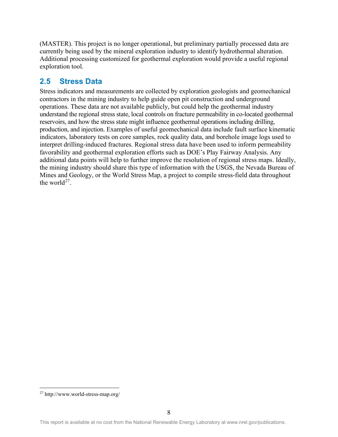(MASTER). This project is no longer operational, but preliminary partially processed data are currently being used by the mineral exploration industry to identify hydrothermal alteration. Additional processing customized for geothermal exploration would provide a useful regional exploration tool.

## <span id="page-16-0"></span>**2.5 Stress Data**

Stress indicators and measurements are collected by exploration geologists and geomechanical contractors in the mining industry to help guide open pit construction and underground operations. These data are not available publicly, but could help the geothermal industry understand the regional stress state, local controls on fracture permeability in co-located geothermal reservoirs, and how the stress state might influence geothermal operations including drilling, production, and injection. Examples of useful geomechanical data include fault surface kinematic indicators, laboratory tests on core samples, rock quality data, and borehole image logs used to interpret drilling-induced fractures. Regional stress data have been used to inform permeability favorability and geothermal exploration efforts such as DOE's Play Fairway Analysis. Any additional data points will help to further improve the resolution of regional stress maps. Ideally, the mining industry should share this type of information with the USGS, the Nevada Bureau of Mines and Geology, or the World Stress Map, a project to compile stress-field data throughout the world<sup>[27](#page-16-1)</sup>.

<span id="page-16-1"></span><sup>27</sup> http://www.world-stress-map.org/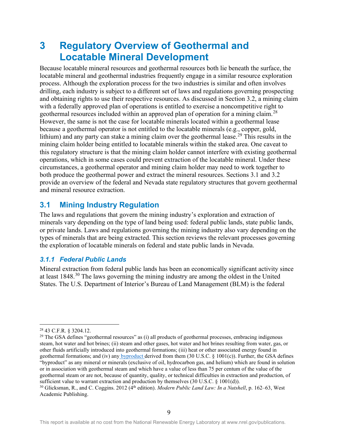## <span id="page-17-0"></span>**3 Regulatory Overview of Geothermal and Locatable Mineral Development**

Because locatable mineral resources and geothermal resources both lie beneath the surface, the locatable mineral and geothermal industries frequently engage in a similar resource exploration process. Although the exploration process for the two industries is similar and often involves drilling, each industry is subject to a different set of laws and regulations governing prospecting and obtaining rights to use their respective resources. As discussed in Section 3.2, a mining claim with a federally approved plan of operations is entitled to exercise a noncompetitive right to geothermal resources included within an approved plan of operation for a mining claim.<sup>[28](#page-17-3)</sup> However, the same is not the case for locatable minerals located within a geothermal lease because a geothermal operator is not entitled to the locatable minerals (e.g., copper, gold, lithium) and any party can stake a mining claim over the geothermal lease.<sup>[29](#page-17-4)</sup> This results in the mining claim holder being entitled to locatable minerals within the staked area. One caveat to this regulatory structure is that the mining claim holder cannot interfere with existing geothermal operations, which in some cases could prevent extraction of the locatable mineral. Under these circumstances, a geothermal operator and mining claim holder may need to work together to both produce the geothermal power and extract the mineral resources. Sections 3.1 and 3.2 provide an overview of the federal and Nevada state regulatory structures that govern geothermal and mineral resource extraction.

## <span id="page-17-1"></span>**3.1 Mining Industry Regulation**

The laws and regulations that govern the mining industry's exploration and extraction of minerals vary depending on the type of land being used: federal public lands, state public lands, or private lands. Laws and regulations governing the mining industry also vary depending on the types of minerals that are being extracted. This section reviews the relevant processes governing the exploration of locatable minerals on federal and state public lands in Nevada.

### <span id="page-17-2"></span>*3.1.1 Federal Public Lands*

<span id="page-17-6"></span>Mineral extraction from federal public lands has been an economically significant activity since at least 1848.<sup>[30](#page-17-5)</sup> The laws governing the mining industry are among the oldest in the United States. The U.S. Department of Interior's Bureau of Land Management (BLM) is the federal

<span id="page-17-3"></span><sup>28</sup> 43 C.F.R. § 3204.12.

<span id="page-17-4"></span><sup>&</sup>lt;sup>29</sup> The GSA defines "geothermal resources" as (i) all products of geothermal processes, embracing indigenous steam, hot water and hot brines; (ii) steam and other gases, hot water and hot brines resulting from water, gas, or other fluids artificially introduced into geothermal formations; (iii) heat or other associated energy found in geothermal formations; and (iv) any [byproduct](https://www.law.cornell.edu/definitions/uscode.php?width=840&height=800&iframe=true&def_id=30-USC-919699272-825761925&term_occur=999&term_src=title:30:chapter:23:section:1001) derived from them (30 U.S.C. § 1001(c)). Further, the GSA defines "byproduct" as any mineral or minerals (exclusive of oil, hydrocarbon gas, and helium) which are found in solution or in association with geothermal steam and which have a value of less than 75 per centum of the value of the geothermal steam or are not, because of quantity, quality, or technical difficulties in extraction and production, of sufficient value to warrant extraction and production by themselves  $(30 \text{ U.S.C. } 8 \text{ 1001(d)}).$ 

<span id="page-17-5"></span><sup>&</sup>lt;sup>30</sup> Glicksman, R., and C. Coggins. 2012 (4<sup>th</sup> edition). *Modern Public Land Law: In a Nutshell*, p. 162–63, West Academic Publishing.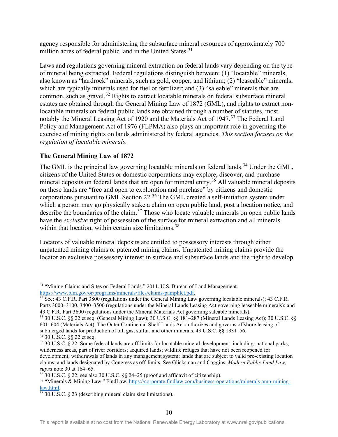agency responsible for administering the subsurface mineral resources of approximately 700 million acres of federal public land in the United States.<sup>[31](#page-18-0)</sup>

Laws and regulations governing mineral extraction on federal lands vary depending on the type of mineral being extracted. Federal regulations distinguish between: (1) "locatable" minerals, also known as "hardrock" minerals, such as gold, copper, and lithium; (2) "leaseable" minerals, which are typically minerals used for fuel or fertilizer; and (3) "saleable" minerals that are common, such as gravel.<sup>[32](#page-18-1)</sup> Rights to extract locatable minerals on federal subsurface mineral estates are obtained through the General Mining Law of 1872 (GML), and rights to extract nonlocatable minerals on federal public lands are obtained through a number of statutes, most notably the Mineral Leasing Act of 1920 and the Materials Act of 1947.<sup>[33](#page-18-2)</sup> The Federal Land Policy and Management Act of 1976 (FLPMA) also plays an important role in governing the exercise of mining rights on lands administered by federal agencies. *This section focuses on the regulation of locatable minerals.*

### **The General Mining Law of 1872**

The GML is the principal law governing locatable minerals on federal lands.<sup>34</sup> Under the GML, citizens of the United States or domestic corporations may explore, discover, and purchase mineral deposits on federal lands that are open for mineral entry.<sup>[35](#page-18-4)</sup> All valuable mineral deposits on these lands are "free and open to exploration and purchase" by citizens and domestic corporations pursuant to GML Section 22.[36](#page-18-5) The GML created a self-initiation system under which a person may go physically stake a claim on open public land, post a location notice, and describe the boundaries of the claim.<sup>[37](#page-18-6)</sup> Those who locate valuable minerals on open public lands have the *exclusive* right of possession of the surface for mineral extraction and all minerals within that location, within certain size limitations. [38](#page-18-7)

Locators of valuable mineral deposits are entitled to possessory interests through either unpatented mining claims or patented mining claims. Unpatented mining claims provide the locator an exclusive possessory interest in surface and subsurface lands and the right to develop

<span id="page-18-0"></span><sup>&</sup>lt;sup>31</sup> "Mining Claims and Sites on Federal Lands." 2011. U.S. Bureau of Land Management. [https://www.blm.gov/or/programs/minerals/files/claims-pamphlet.pdf.](https://www.blm.gov/or/programs/minerals/files/claims-pamphlet.pdf)

<span id="page-18-1"></span><sup>&</sup>lt;sup>32</sup> See: 43 C.F.R. Part 3800 (regulations under the General Mining Law governing locatable minerals); 43 C.F.R. Parts 3000–3100, 3400–3500 (regulations under the Mineral Lands Leasing Act governing leaseable minerals); and 43 C.F.R. Part 3600 (regulations under the Mineral Materials Act governing saleable minerals).<br><sup>33</sup> 30 U.S.C. §§ 22 et seq. (General Mining Law); 30 U.S.C. §§ 181–287 (Mineral Lands Leasing Act); 30 U.S.C. §§

<span id="page-18-2"></span><sup>601–604 (</sup>Materials Act). The Outer Continental Shelf Lands Act authorizes and governs offshore leasing of submerged lands for production of oil, gas, sulfur, and other minerals. 43 U.S.C. §§ 1331–56. <sup>34</sup> 30 U.S.C. §§ 22 et seq.

<span id="page-18-4"></span><span id="page-18-3"></span><sup>35</sup> 30 U.S.C. § 22. Some federal lands are off-limits for locatable mineral development, including: national parks, wilderness areas, part of river corridors; acquired lands; wildlife refuges that have not been reopened for development; withdrawals of lands in any management system; lands that are subject to valid pre-existing location claims; and lands designated by Congress as off-limits. See Glicksman and Coggins, *Modern Public Land Law*, *supra* note [30](#page-17-6) at 164–65.

<span id="page-18-5"></span><sup>36</sup> 30 U.S.C. § 22; see also 30 U.S.C. §§ 24–25 (proof and affidavit of citizenship).

<span id="page-18-6"></span><sup>&</sup>lt;sup>37</sup> "Minerals & Mining Law." FindLaw. https://corporate.findlaw.com/business-operations/minerals-amp-mining-<br>law.html.

<span id="page-18-7"></span> $38$  30 U.S.C. § 23 (describing mineral claim size limitations).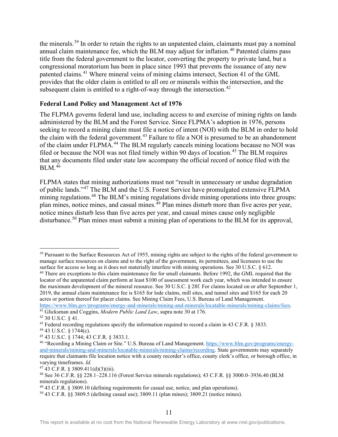the minerals.[39](#page-19-0) In order to retain the rights to an unpatented claim, claimants must pay a nominal annual claim maintenance fee, which the BLM may adjust for inflation.<sup>[40](#page-19-1)</sup> Patented claims pass title from the federal government to the locator, converting the property to private land, but a congressional moratorium has been in place since 1993 that prevents the issuance of any new patented claims.<sup>41</sup> Where mineral veins of mining claims intersect, Section [41](#page-19-2) of the GML provides that the older claim is entitled to all ore or minerals within the intersection, and the subsequent claim is entitled to a right-of-way through the intersection.<sup>[42](#page-19-3)</sup>

#### **Federal Land Policy and Management Act of 1976**

The FLPMA governs federal land use, including access to and exercise of mining rights on lands administered by the BLM and the Forest Service. Since FLPMA's adoption in 1976, persons seeking to record a mining claim must file a notice of intent (NOI) with the BLM in order to hold the claim with the federal government.<sup>[43](#page-19-4)</sup> Failure to file a NOI is presumed to be an abandonment of the claim under FLPMA.<sup>[44](#page-19-5)</sup> The BLM regularly cancels mining locations because no NOI was filed or because the NOI was not filed timely within 90 days of location.<sup>45</sup> The BLM requires that any documents filed under state law accompany the official record of notice filed with the  $BLM.<sup>46</sup>$ 

FLPMA states that mining authorizations must not "result in unnecessary or undue degradation of public lands."[47](#page-19-8) The BLM and the U.S. Forest Service have promulgated extensive FLPMA mining regulations.<sup>[48](#page-19-9)</sup> The BLM's mining regulations divide mining operations into three groups: plan mines, notice mines, and casual mines.[49](#page-19-10) Plan mines disturb more than five acres per year, notice mines disturb less than five acres per year, and casual mines cause only negligible disturbance.<sup>50</sup> Plan mines must submit a mining plan of operations to the BLM for its approval,

<span id="page-19-0"></span><sup>&</sup>lt;sup>39</sup> Pursuant to the Surface Resources Act of 1955, mining rights are subject to the rights of the federal government to manage surface resources on claims and to the right of the government, its permittees, and licensees to use the surface for access so long as it does not materially interfere with mining operations. See 30 U.S.C. § 612.

<span id="page-19-1"></span><sup>&</sup>lt;sup>40</sup> There are exceptions to this claim maintenance fee for small claimants. Before 1992, the GML required that the locator of the unpatented claim perform at least \$100 of assessment work each year, which was intended to ensure the maximum development of the mineral resource. See 30 U.S.C. § 28f. For claims located on or after September 1, 2019, the annual claim maintenance fee is \$165 for lode claims, mill sites, and tunnel sites and \$165 for each 20 acres or portion thereof for placer claims. See Mining Claim Fees, U.S. Bureau of Land Management. [https://www.blm.gov/programs/energy-and-minerals/mining-and-minerals/locatable-minerals/mining-claims/fees.](https://www.blm.gov/programs/energy-and-minerals/mining-and-minerals/locatable-minerals/mining-claims/fees)

<span id="page-19-2"></span><sup>41</sup> Glicksman and Coggins, *Modern Public Land Law*, supra note [30](#page-17-6) at 176.

<span id="page-19-3"></span><sup>42</sup> 30 U.S.C. § 41.

<span id="page-19-5"></span><span id="page-19-4"></span><sup>43</sup> Federal recording regulations specify the information required to record a claim in 43 C.F.R. § 3833. <sup>44</sup> 43 U.S.C. § 1744(c).

<span id="page-19-6"></span><sup>45</sup> 43 U.S.C. § 1744; 43 C.F.R. § 3833.1.

<span id="page-19-7"></span><sup>&</sup>lt;sup>46</sup> "Recording a Mining Claim or Site." U.S. Bureau of Land Management[. https://www.blm.gov/programs/energy](https://www.blm.gov/programs/energy-and-minerals/mining-and-minerals/locatable-minerals/mining-claims/recording)[and-minerals/mining-and-minerals/locatable-minerals/mining-claims/recording.](https://www.blm.gov/programs/energy-and-minerals/mining-and-minerals/locatable-minerals/mining-claims/recording) State governments may separately require that claimants file location notice with a county recorder's office, county clerk's office, or borough office, in varying timeframes. *Id.*

<span id="page-19-8"></span> $47$  43 C.F.R. § 3809.411(d)(3)(iii).

<span id="page-19-9"></span><sup>48</sup> See 36 C.F.R. §§ 228.1–228.116 (Forest Service minerals regulations); 43 C.F.R. §§ 3000.0–3936.40 (BLM minerals regulations).

<span id="page-19-10"></span> $49$  43 C.F.R. § 3809.10 (defining requirements for casual use, notice, and plan operations).

<span id="page-19-11"></span><sup>50</sup> 43 C.F.R. §§ 3809.5 (defining casual use); 3809.11 (plan mines); 3809.21 (notice mines).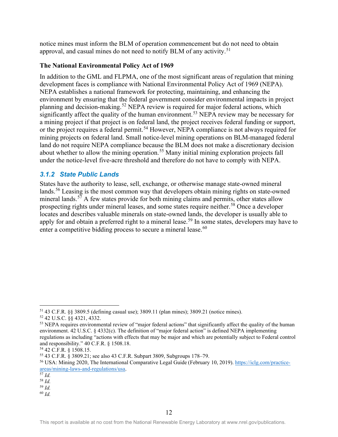notice mines must inform the BLM of operation commencement but do not need to obtain approval, and casual mines do not need to notify BLM of any activity.<sup>[51](#page-20-1)</sup>

### **The National Environmental Policy Act of 1969**

In addition to the GML and FLPMA, one of the most significant areas of regulation that mining development faces is compliance with National Environmental Policy Act of 1969 (NEPA). NEPA establishes a national framework for protecting, maintaining, and enhancing the environment by ensuring that the federal government consider environmental impacts in project planning and decision-making.<sup>52</sup> NEPA review is required for major federal actions, which significantly affect the quality of the human environment.<sup>[53](#page-20-3)</sup> NEPA review may be necessary for a mining project if that project is on federal land, the project receives federal funding or support, or the project requires a federal permit.<sup>[54](#page-20-4)</sup> However, NEPA compliance is not always required for mining projects on federal land. Small notice-level mining operations on BLM-managed federal land do not require NEPA compliance because the BLM does not make a discretionary decision about whether to allow the mining operation.<sup>[55](#page-20-5)</sup> Many initial mining exploration projects fall under the notice-level five-acre threshold and therefore do not have to comply with NEPA.

### <span id="page-20-0"></span>*3.1.2 State Public Lands*

States have the authority to lease, sell, exchange, or otherwise manage state-owned mineral lands.<sup>56</sup> Leasing is the most common way that developers obtain mining rights on state-owned mineral lands.<sup>57</sup> A few states provide for both mining claims and permits, other states allow prospecting rights under mineral leases, and some states require neither.<sup>[58](#page-20-8)</sup> Once a developer locates and describes valuable minerals on state-owned lands, the developer is usually able to apply for and obtain a preferred right to a mineral lease.<sup>59</sup> In some states, developers may have to enter a competitive bidding process to secure a mineral lease.<sup>[60](#page-20-10)</sup>

<span id="page-20-10"></span><sup>60</sup> *Id.*

<span id="page-20-1"></span><sup>51</sup> 43 C.F.R. §§ 3809.5 (defining casual use); 3809.11 (plan mines); 3809.21 (notice mines).

<span id="page-20-2"></span><sup>52</sup> 42 U.S.C. §§ 4321, 4332.

<span id="page-20-3"></span><sup>&</sup>lt;sup>53</sup> NEPA requires environmental review of "major federal actions" that significantly affect the quality of the human environment. 42 U.S.C. § 4332(c). The definition of "major federal action" is defined NEPA implementing regulations as including "actions with effects that may be major and which are potentially subject to Federal control and responsibility." 40 C.F.R. § 1508.18.

<span id="page-20-4"></span><sup>54</sup> 42 C.F.R. § 1508.15.

<span id="page-20-5"></span><sup>55</sup> 43 C.F.R. § 3809.21; see also 43 C.F.R. Subpart 3809, Subgroups 178–79.

<span id="page-20-6"></span><sup>56</sup> USA: Mining 2020, The International Comparative Legal Guide (February 10, 2019). [https://iclg.com/practice](https://iclg.com/practice-areas/mining-laws-and-regulations/usa)[areas/mining-laws-and-regulations/usa.](https://iclg.com/practice-areas/mining-laws-and-regulations/usa) 57 *Id.*

<span id="page-20-7"></span><sup>58</sup> *Id.*

<span id="page-20-9"></span><span id="page-20-8"></span><sup>59</sup> *Id.*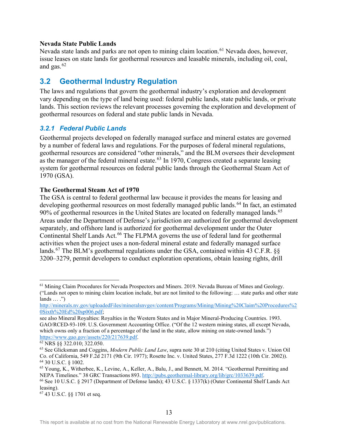#### **Nevada State Public Lands**

Nevada state lands and parks are not open to mining claim location.<sup>61</sup> Nevada does, however, issue leases on state lands for geothermal resources and leasable minerals, including oil, coal, and gas.[62](#page-21-3)

### <span id="page-21-0"></span>**3.2 Geothermal Industry Regulation**

The laws and regulations that govern the geothermal industry's exploration and development vary depending on the type of land being used: federal public lands, state public lands, or private lands. This section reviews the relevant processes governing the exploration and development of geothermal resources on federal and state public lands in Nevada.

### <span id="page-21-1"></span>*3.2.1 Federal Public Lands*

Geothermal projects developed on federally managed surface and mineral estates are governed by a number of federal laws and regulations. For the purposes of federal mineral regulations, geothermal resources are considered "other minerals," and the BLM oversees their development as the manager of the federal mineral estate.<sup>63</sup> In 1970, Congress created a separate leasing system for geothermal resources on federal public lands through the Geothermal Steam Act of 1970 (GSA).

#### **The Geothermal Steam Act of 1970**

The GSA is central to federal geothermal law because it provides the means for leasing and developing geothermal resources on most federally managed public lands.<sup>[64](#page-21-5)</sup> In fact, an estimated 90% of geothermal resources in the United States are located on federally managed lands.<sup>[65](#page-21-6)</sup> Areas under the Department of Defense's jurisdiction are authorized for geothermal development separately, and offshore land is authorized for geothermal development under the Outer Continental Shelf Lands Act.<sup>[66](#page-21-7)</sup> The FLPMA governs the use of federal land for geothermal activities when the project uses a non-federal mineral estate and federally managed surface lands.<sup>67</sup> The BLM's geothermal regulations under the GSA, contained within 43 C.F.R. §§ 3200–3279, permit developers to conduct exploration operations, obtain leasing rights, drill

<span id="page-21-2"></span><sup>&</sup>lt;sup>61</sup> Mining Claim Procedures for Nevada Prospectors and Miners. 2019. Nevada Bureau of Mines and Geology. ("Lands not open to mining claim location include, but are not limited to the following: … state parks and other state lands  $\dots$  ."

[http://minerals.nv.gov/uploadedFiles/mineralsnvgov/content/Programs/Mining/Mining%20Claim%20Procedures%2](http://minerals.nv.gov/uploadedFiles/mineralsnvgov/content/Programs/Mining/Mining%20Claim%20Procedures%20Sixth%20Ed%20sp006.pdf) [0Sixth%20Ed%20sp006.pdf;](http://minerals.nv.gov/uploadedFiles/mineralsnvgov/content/Programs/Mining/Mining%20Claim%20Procedures%20Sixth%20Ed%20sp006.pdf)

see also Mineral Royalties: Royalties in the Western States and in Major Mineral-Producing Countries. 1993. GAO/RCED-93-109. U.S. Government Accounting Office. ("Of the 12 western mining states, all except Nevada, which owns only a fraction of a percentage of the land in the state, allow mining on state-owned lands.") [https://www.gao.gov/assets/220/217639.pdf.](https://www.gao.gov/assets/220/217639.pdf) 62 NRS §§ 322.010; 322.050.

<span id="page-21-4"></span><span id="page-21-3"></span><sup>63</sup> See Glicksman and Coggins, *Modern Public Land Law*, supra note [30](#page-17-6) at 210 (citing United States v. Union Oil Co. of California, 549 F.2d 2171 (9th Cir. 1977); Rosette Inc. v. United States, 277 F.3d 1222 (10th Cir. 2002)). <sup>64</sup> 30 U.S.C. § 1002.

<span id="page-21-6"></span><span id="page-21-5"></span><sup>65</sup> Young, K., Witherbee, K., Levine, A., Keller, A., Balu, J., and Bennett, M. 2014. "Geothermal Permitting and NEPA Timelines." 38 GRC Transactions 893[. http://pubs.geothermal-library.org/lib/grc/1033639.pdf.](http://pubs.geothermal-library.org/lib/grc/1033639.pdf) 66 See 10 U.S.C. § 2917 (Department of Defense lands); 43 U.S.C. § 1337(k) (Outer Continental Shelf Lands Act

<span id="page-21-7"></span>leasing).

<span id="page-21-8"></span><sup>67</sup> 43 U.S.C. §§ 1701 et seq.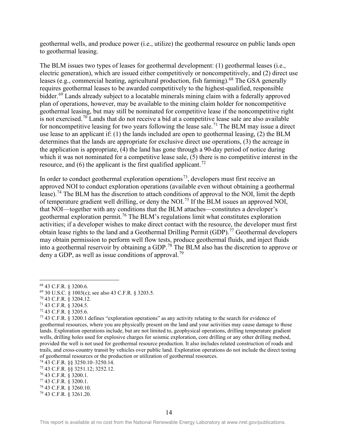geothermal wells, and produce power (i.e., utilize) the geothermal resource on public lands open to geothermal leasing.

The BLM issues two types of leases for geothermal development: (1) geothermal leases (i.e., electric generation), which are issued either competitively or noncompetitively, and (2) direct use leases (e.g., commercial heating, agricultural production, fish farming).<sup>[68](#page-22-0)</sup> The GSA generally requires geothermal leases to be awarded competitively to the highest-qualified, responsible bidder.<sup>[69](#page-22-1)</sup> Lands already subject to a locatable minerals mining claim with a federally approved plan of operations, however, may be available to the mining claim holder for noncompetitive geothermal leasing, but may still be nominated for competitive lease if the noncompetitive right is not exercised.<sup>[70](#page-22-2)</sup> Lands that do not receive a bid at a competitive lease sale are also available for noncompetitive leasing for two years following the lease sale.<sup>[71](#page-22-3)</sup> The BLM may issue a direct use lease to an applicant if: (1) the lands included are open to geothermal leasing, (2) the BLM determines that the lands are appropriate for exclusive direct use operations, (3) the acreage in the application is appropriate, (4) the land has gone through a 90-day period of notice during which it was not nominated for a competitive lease sale, (5) there is no competitive interest in the resource, and  $(6)$  the applicant is the first qualified applicant.<sup>[72](#page-22-4)</sup>

In order to conduct geothermal exploration operations<sup>73</sup>, developers must first receive an approved NOI to conduct exploration operations (available even without obtaining a geothermal lease).<sup>74</sup> The BLM has the discretion to attach conditions of approval to the NOI, limit the depth of temperature gradient well drilling, or deny the NOI.[75](#page-22-7) If the BLM issues an approved NOI, that NOI—together with any conditions that the BLM attaches—constitutes a developer's geothermal exploration permit.[76](#page-22-8) The BLM's regulations limit what constitutes exploration activities; if a developer wishes to make direct contact with the resource, the developer must first obtain lease rights to the land and a Geothermal Drilling Permit (GDP).<sup>77</sup> Geothermal developers may obtain permission to perform well flow tests, produce geothermal fluids, and inject fluids into a geothermal reservoir by obtaining a GDP.[78](#page-22-10) The BLM also has the discretion to approve or deny a GDP, as well as issue conditions of approval.<sup>[79](#page-22-11)</sup>

<span id="page-22-0"></span><sup>68</sup> 43 C.F.R. § 3200.6.

<span id="page-22-1"></span><sup>69</sup> 30 U.S.C. § 1003(c); see also 43 C.F.R. § 3203.5.

<span id="page-22-2"></span><sup>70</sup> 43 C.F.R. § 3204.12.

<span id="page-22-3"></span><sup>71</sup> 43 C.F.R. § 3204.5.

<span id="page-22-4"></span><sup>72</sup> 43 C.F.R. § 3205.6.

<span id="page-22-5"></span><sup>73</sup> 43 C.F.R. § 3200.1 defines "exploration operations" as any activity relating to the search for evidence of geothermal resources, where you are physically present on the land and your activities may cause damage to those lands. Exploration operations include, but are not limited to, geophysical operations, drilling temperature gradient wells, drilling holes used for explosive charges for seismic exploration, core drilling or any other drilling method, provided the well is not used for geothermal resource production. It also includes related construction of roads and trails, and cross-country transit by vehicles over public land. Exploration operations do not include the direct testing of geothermal resources or the production or utilization of geothermal resources.

<span id="page-22-6"></span><sup>74</sup> 43 C.F.R. §§ 3250.10–3250.14.

<span id="page-22-7"></span><sup>75</sup> 43 C.F.R. §§ 3251.12; 3252.12.

<span id="page-22-8"></span><sup>76</sup> 43 C.F.R. § 3200.1.

<span id="page-22-9"></span><sup>77</sup> 43 C.F.R. § 3200.1.

<span id="page-22-10"></span><sup>78</sup> 43 C.F.R. § 3260.10.

<span id="page-22-11"></span><sup>79</sup> 43 C.F.R. § 3261.20.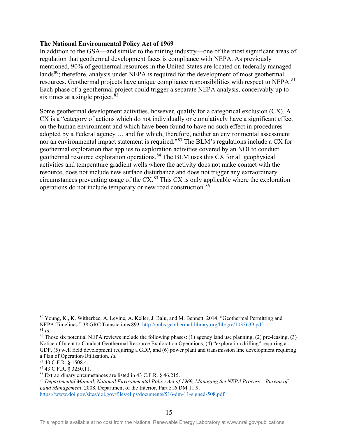#### **The National Environmental Policy Act of 1969**

In addition to the GSA—and similar to the mining industry—one of the most significant areas of regulation that geothermal development faces is compliance with NEPA. As previously mentioned, 90% of geothermal resources in the United States are located on federally managed lands<sup>80</sup>; therefore, analysis under NEPA is required for the development of most geothermal resources. Geothermal projects have unique compliance responsibilities with respect to NEPA.<sup>[81](#page-23-2)</sup> Each phase of a geothermal project could trigger a separate NEPA analysis, conceivably up to six times at a single project.  $82$ 

<span id="page-23-0"></span>Some geothermal development activities, however, qualify for a categorical exclusion (CX). A CX is a "category of actions which do not individually or cumulatively have a significant effect on the human environment and which have been found to have no such effect in procedures adopted by a Federal agency … and for which, therefore, neither an environmental assessment nor an environmental impact statement is required."[83](#page-23-4) The BLM's regulations include a CX for geothermal exploration that applies to exploration activities covered by an NOI to conduct geothermal resource exploration operations.<sup>84</sup> The BLM uses this CX for all geophysical activities and temperature gradient wells where the activity does not make contact with the resource, does not include new surface disturbance and does not trigger any extraordinary circumstances preventing usage of the  $CX<sup>85</sup>$  $CX<sup>85</sup>$  $CX<sup>85</sup>$  This CX is only applicable where the exploration operations do not include temporary or new road construction.<sup>[86](#page-23-7)</sup>

<span id="page-23-1"></span><sup>80</sup> Young, K., K. Witherbee, A. Levine, A. Keller, J. Balu, and M. Bennett. 2014. "Geothermal Permitting and NEPA Timelines." 38 GRC Transactions 893[. http://pubs.geothermal-library.org/lib/grc/1033639.pdf.](http://pubs.geothermal-library.org/lib/grc/1033639.pdf) 81 *Id.*

<span id="page-23-3"></span><span id="page-23-2"></span> $82$  Those six potential NEPA reviews include the following phases: (1) agency land use planning, (2) pre-leasing, (3) Notice of Intent to Conduct Geothermal Resource Exploration Operations, (4) "exploration drilling" requiring a GDP, (5) well field development requiring a GDP, and (6) power plant and transmission line development requiring a Plan of Operation/Utilization. *Id.*

<span id="page-23-4"></span><sup>83</sup> 40 C.F.R. § 1508.4.

<span id="page-23-5"></span><sup>84</sup> 43 C.F.R. § 3250.11.

<span id="page-23-6"></span><sup>85</sup> Extraordinary circumstances are listed in 43 C.F.R. § 46.215.

<span id="page-23-7"></span><sup>86</sup> *Departmental Manual, National Environmental Policy Act of 1969, Managing the NEPA Process – Bureau of Land Management*. 2008. Department of the Interior, Part 516 DM 11.9.

[https://www.doi.gov/sites/doi.gov/files/elips/documents/516-dm-11-signed-508.pdf.](https://www.doi.gov/sites/doi.gov/files/elips/documents/516-dm-11-signed-508.pdf)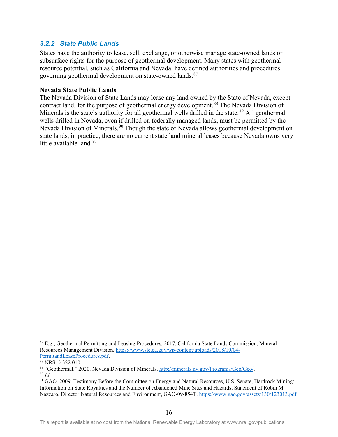### *3.2.2 State Public Lands*

States have the authority to lease, sell, exchange, or otherwise manage state-owned lands or subsurface rights for the purpose of geothermal development. Many states with geothermal resource potential, such as California and Nevada, have defined authorities and procedures governing geothermal development on state-owned lands.<sup>[87](#page-24-0)</sup>

#### **Nevada State Public Lands**

The Nevada Division of State Lands may lease any land owned by the State of Nevada, except contract land, for the purpose of geothermal energy development.<sup>[88](#page-24-1)</sup> The Nevada Division of Minerals is the state's authority for all geothermal wells drilled in the state.<sup>[89](#page-24-2)</sup> All geothermal wells drilled in Nevada, even if drilled on federally managed lands, must be permitted by the Nevada Division of Minerals.<sup>[90](#page-24-3)</sup> Though the state of Nevada allows geothermal development on state lands, in practice, there are no current state land mineral leases because Nevada owns very little available land. $91$ 

<span id="page-24-0"></span><sup>87</sup> E.g., Geothermal Permitting and Leasing Procedures*.* 2017. California State Lands Commission, Mineral Resources Management Division[. https://www.slc.ca.gov/wp-content/uploads/2018/10/04-](https://www.slc.ca.gov/wp-content/uploads/2018/10/04-PermitandLeaseProcedures.pdf) [PermitandLeaseProcedures.pdf.](https://www.slc.ca.gov/wp-content/uploads/2018/10/04-PermitandLeaseProcedures.pdf)<br><sup>88</sup> NRS § 322.010.

<span id="page-24-1"></span>

<span id="page-24-3"></span><span id="page-24-2"></span><sup>89</sup> "Geothermal." 2020. Nevada Division of Minerals, [http://minerals.nv.gov/Programs/Geo/Geo/.](http://minerals.nv.gov/Programs/Geo/Geo/) 90 *Id.*

<span id="page-24-4"></span><sup>&</sup>lt;sup>91</sup> GAO. 2009. Testimony Before the Committee on Energy and Natural Resources, U.S. Senate, Hardrock Mining: Information on State Royalties and the Number of Abandoned Mine Sites and Hazards, Statement of Robin M. Nazzaro, Director Natural Resources and Environment, GAO-09-854T. [https://www.gao.gov/assets/130/123013.pdf.](https://www.gao.gov/assets/130/123013.pdf)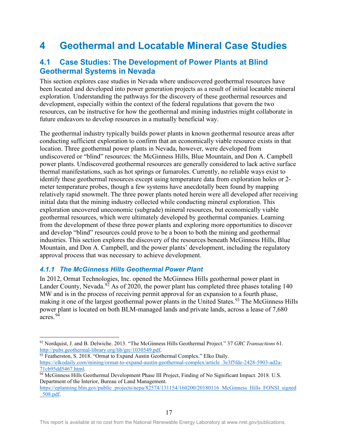# <span id="page-25-0"></span>**4 Geothermal and Locatable Mineral Case Studies**

## <span id="page-25-1"></span>**4.1 Case Studies: The Development of Power Plants at Blind Geothermal Systems in Nevada**

This section explores case studies in Nevada where undiscovered geothermal resources have been located and developed into power generation projects as a result of initial locatable mineral exploration. Understanding the pathways for the discovery of these geothermal resources and development, especially within the context of the federal regulations that govern the two resources, can be instructive for how the geothermal and mining industries might collaborate in future endeavors to develop resources in a mutually beneficial way.

The geothermal industry typically builds power plants in known geothermal resource areas after conducting sufficient exploration to confirm that an economically viable resource exists in that location. Three geothermal power plants in Nevada, however, were developed from undiscovered or "blind" resources: the McGinness Hills, Blue Mountain, and Don A. Campbell power plants. Undiscovered geothermal resources are generally considered to lack active surface thermal manifestations, such as hot springs or fumaroles. Currently, no reliable ways exist to identify these geothermal resources except using temperature data from exploration holes or 2 meter temperature probes, though a few systems have anecdotally been found by mapping relatively rapid snowmelt. The three power plants noted herein were all developed after receiving initial data that the mining industry collected while conducting mineral exploration. This exploration uncovered uneconomic (subgrade) mineral resources, but economically viable geothermal resources, which were ultimately developed by geothermal companies. Learning from the development of these three power plants and exploring more opportunities to discover and develop "blind" resources could prove to be a boon to both the mining and geothermal industries. This section explores the discovery of the resources beneath McGinness Hills, Blue Mountain, and Don A. Campbell, and the power plants' development, including the regulatory approval process that was necessary to achieve development.

### <span id="page-25-2"></span>*4.1.1 The McGinness Hills Geothermal Power Plant*

<span id="page-25-6"></span>In 2012, Ormat Technologies, Inc. opened the McGinness Hills geothermal power plant in Lander County, Nevada.<sup>92</sup> As of 2020, the power plant has completed three phases totaling 140 MW and is in the process of receiving permit approval for an expansion to a fourth phase, making it one of the largest geothermal power plants in the United States.<sup>[93](#page-25-4)</sup> The McGinness Hills power plant is located on both BLM-managed lands and private lands, across a lease of 7,680 acres.<sup>[94](#page-25-5)</sup>

<span id="page-25-3"></span><sup>92</sup> Nordquist, J. and B. Delwiche. 2013. "The McGinness Hills Geothermal Project." 37 *GRC Transactions* 61. [http://pubs.geothermal-library.org/lib/grc/1030549.pdf.](http://pubs.geothermal-library.org/lib/grc/1030549.pdf)

<span id="page-25-4"></span><sup>&</sup>lt;sup>93</sup> Featherston, S. 2018. "Ormat to Expand Austin Geothermal Complex." Elko Daily. [https://elkodaily.com/mining/ormat-to-expand-austin-geothermal-complex/article\\_3e3f5fde-2428-5903-ad2a-](https://elkodaily.com/mining/ormat-to-expand-austin-geothermal-complex/article_3e3f5fde-2428-5903-ad2a-71cb95dd5467.html)[71cb95dd5467.html.](https://elkodaily.com/mining/ormat-to-expand-austin-geothermal-complex/article_3e3f5fde-2428-5903-ad2a-71cb95dd5467.html) 94 McGinness Hills Geothermal Development Phase III Project, Finding of No Significant Impact*.* 2018*.* U.S.

<span id="page-25-5"></span>Department of the Interior, Bureau of Land Management.

[https://eplanning.blm.gov/public\\_projects/nepa/82574/131154/160200/20180116\\_McGinness\\_Hills\\_FONSI\\_signed](https://eplanning.blm.gov/public_projects/nepa/82574/131154/160200/20180116_McGinness_Hills_FONSI_signed_508.pdf) [\\_508.pdf.](https://eplanning.blm.gov/public_projects/nepa/82574/131154/160200/20180116_McGinness_Hills_FONSI_signed_508.pdf)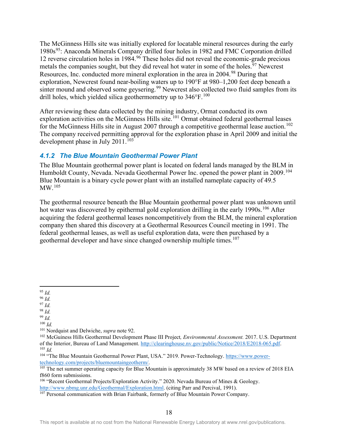The McGinness Hills site was initially explored for locatable mineral resources during the early 1980s<sup>[95](#page-26-1)</sup>: Anaconda Minerals Company drilled four holes in 1982 and FMC Corporation drilled 12 reverse circulation holes in  $1984.96$  $1984.96$  These holes did not reveal the economic-grade precious metals the companies sought, but they did reveal hot water in some of the holes.<sup>[97](#page-26-3)</sup> Newcrest Resources, Inc. conducted more mineral exploration in the area in 2004.<sup>98</sup> During that exploration, Newcrest found near-boiling waters up to 190°F at 980–1,200 feet deep beneath a sinter mound and observed some geysering.<sup>[99](#page-26-5)</sup> Newcrest also collected two fluid samples from its drill holes, which yielded silica geothermometry up to  $346^{\circ}$ F.  $^{100}$  $^{100}$  $^{100}$ 

After reviewing these data collected by the mining industry, Ormat conducted its own exploration activities on the McGinness Hills site.<sup>[101](#page-26-7)</sup> Ormat obtained federal geothermal leases for the McGinness Hills site in August 2007 through a competitive geothermal lease auction.<sup>[102](#page-26-8)</sup> The company received permitting approval for the exploration phase in April 2009 and initial the development phase in July  $2011$ .<sup>[103](#page-26-9)</sup>

### <span id="page-26-0"></span>*4.1.2 The Blue Mountain Geothermal Power Plant*

The Blue Mountain geothermal power plant is located on federal lands managed by the BLM in Humboldt County, Nevada. Nevada Geothermal Power Inc. opened the power plant in 2009.<sup>[104](#page-26-10)</sup> Blue Mountain is a binary cycle power plant with an installed nameplate capacity of 49.5 MW. [105](#page-26-11)

The geothermal resource beneath the Blue Mountain geothermal power plant was unknown until hot water was discovered by epithermal gold exploration drilling in the early 1990s.<sup>[106](#page-26-12)</sup> After acquiring the federal geothermal leases noncompetitively from the BLM, the mineral exploration company then shared this discovery at a Geothermal Resources Council meeting in 1991. The federal geothermal leases, as well as useful exploration data, were then purchased by a geothermal developer and have since changed ownership multiple times.<sup>107</sup>

- <span id="page-26-3"></span><sup>97</sup> *Id.*
- <span id="page-26-4"></span><sup>98</sup> *Id.* <sup>99</sup> *Id.*
- 
- <span id="page-26-6"></span><span id="page-26-5"></span><sup>100</sup> *Id.* Nordquist and Delwiche, *supra* note 92.
- <span id="page-26-8"></span><span id="page-26-7"></span><sup>102</sup> McGuiness Hills Geothermal Development Phase III Project, *Environmental Assessment*. 2017. U.S. Department of the Interior, Bureau of Land Management. [http://clearinghouse.nv.gov/public/Notice/2018/E2018-065.pdf.](http://clearinghouse.nv.gov/public/Notice/2018/E2018-065.pdf) 103 *Id.*

<span id="page-26-12"></span>106 "Recent Geothermal Projects/Exploration Activity." 2020. Nevada Bureau of Mines & Geology. [http://www.nbmg.unr.edu/Geothermal/Exploration.html.](http://www.nbmg.unr.edu/Geothermal/Exploration.html) (citing Parr and Percival, 1991).

<span id="page-26-1"></span><sup>95</sup> *Id.*

<span id="page-26-2"></span><sup>96</sup> *Id.*

<span id="page-26-10"></span><span id="page-26-9"></span><sup>&</sup>lt;sup>104</sup> "The Blue Mountain Geothermal Power Plant, USA." 2019. Power-Technology. https://www.power-technology.com/projects/bluemountaingeotherm/.

<span id="page-26-11"></span> $\frac{105}{105}$  The net summer operating capacity for Blue Mountain is approximately 38 MW based on a review of 2018 EIA f860 form submissions.

<span id="page-26-13"></span><sup>&</sup>lt;sup>107</sup> Personal communication with Brian Fairbank, formerly of Blue Mountain Power Company.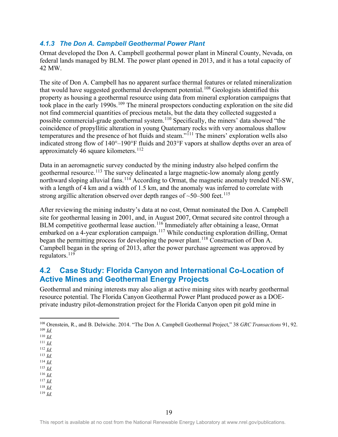### <span id="page-27-0"></span>*4.1.3 The Don A. Campbell Geothermal Power Plant*

Ormat developed the Don A. Campbell geothermal power plant in Mineral County, Nevada, on federal lands managed by BLM. The power plant opened in 2013, and it has a total capacity of 42 MW.

The site of Don A. Campbell has no apparent surface thermal features or related mineralization that would have suggested geothermal development potential.<sup>[108](#page-27-2)</sup> Geologists identified this property as housing a geothermal resource using data from mineral exploration campaigns that took place in the early 1990s.<sup>[109](#page-27-3)</sup> The mineral prospectors conducting exploration on the site did not find commercial quantities of precious metals, but the data they collected suggested a possible commercial-grade geothermal system.[110](#page-27-4) Specifically, the miners' data showed "the coincidence of propyllitic alteration in young Quaternary rocks with very anomalous shallow temperatures and the presence of hot fluids and steam."<sup>[111](#page-27-5)</sup> The miners' exploration wells also indicated strong flow of 140°–190°F fluids and 203°F vapors at shallow depths over an area of approximately 46 square kilometers.<sup>[112](#page-27-6)</sup>

Data in an aeromagnetic survey conducted by the mining industry also helped confirm the geothermal resource.<sup>[113](#page-27-7)</sup> The survey delineated a large magnetic-low anomaly along gently northward sloping alluvial fans.<sup>[114](#page-27-8)</sup> According to Ormat, the magnetic anomaly trended NE-SW, with a length of 4 km and a width of 1.5 km, and the anomaly was inferred to correlate with strong argillic alteration observed over depth ranges of  $\sim$  50–500 feet.<sup>[115](#page-27-9)</sup>

After reviewing the mining industry's data at no cost, Ormat nominated the Don A. Campbell site for geothermal leasing in 2001, and, in August 2007, Ormat secured site control through a BLM competitive geothermal lease auction.<sup>[116](#page-27-10)</sup> Immediately after obtaining a lease, Ormat embarked on a 4-year exploration campaign.<sup>[117](#page-27-11)</sup> While conducting exploration drilling, Ormat began the permitting process for developing the power plant.<sup>[118](#page-27-12)</sup> Construction of Don A. Campbell began in the spring of 2013, after the power purchase agreement was approved by regulators.[119](#page-27-13) 

## <span id="page-27-1"></span>**4.2 Case Study: Florida Canyon and International Co-Location of Active Mines and Geothermal Energy Projects**

Geothermal and mining interests may also align at active mining sites with nearby geothermal resource potential. The Florida Canyon Geothermal Power Plant produced power as a DOEprivate industry pilot-demonstration project for the Florida Canyon open pit gold mine in

- <span id="page-27-5"></span><sup>111</sup> *Id.*
- <span id="page-27-6"></span><sup>112</sup> *Id.*
- <span id="page-27-8"></span><span id="page-27-7"></span><sup>113</sup> *Id.* <sup>114</sup> *Id.*
- <span id="page-27-9"></span><sup>115</sup> *Id.*
- <span id="page-27-10"></span><sup>116</sup> *Id.*
- <span id="page-27-11"></span><sup>117</sup> *Id.*
- <span id="page-27-13"></span><span id="page-27-12"></span><sup>118</sup> *Id.* <sup>119</sup> *Id.*

<span id="page-27-3"></span><span id="page-27-2"></span><sup>108</sup> Orenstein, R., and B. Delwiche. 2014. "The Don A. Campbell Geothermal Project," 38 *GRC Transactions* 91, 92. <sup>109</sup> *Id.*

<span id="page-27-4"></span><sup>110</sup> *Id.*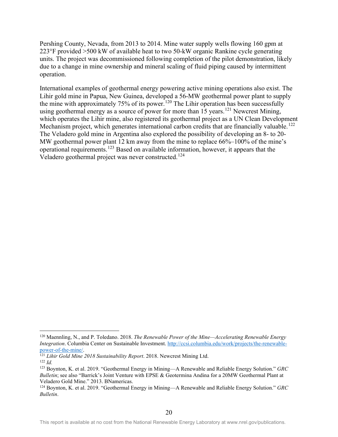Pershing County, Nevada, from 2013 to 2014. Mine water supply wells flowing 160 gpm at 223°F provided >500 kW of available heat to two 50-kW organic Rankine cycle generating units. The project was decommissioned following completion of the pilot demonstration, likely due to a change in mine ownership and mineral scaling of fluid piping caused by intermittent operation.

International examples of geothermal energy powering active mining operations also exist. The Lihir gold mine in Papua, New Guinea, developed a 56-MW geothermal power plant to supply the mine with approximately 75% of its power.<sup>[120](#page-28-0)</sup> The Lihir operation has been successfully using geothermal energy as a source of power for more than  $15$  years.<sup>121</sup> Newcrest Mining, which operates the Lihir mine, also registered its geothermal project as a UN Clean Development Mechanism project, which generates international carbon credits that are financially valuable.<sup>[122](#page-28-2)</sup> The Veladero gold mine in Argentina also explored the possibility of developing an 8- to 20- MW geothermal power plant 12 km away from the mine to replace 66%–100% of the mine's operational requirements.[123](#page-28-3) Based on available information, however, it appears that the Veladero geothermal project was never constructed.<sup>124</sup>

<span id="page-28-0"></span><sup>120</sup> Maennling, N., and P. Toledano. 2018. *The Renewable Power of the Mine—Accelerating Renewable Energy Integration*. Columbia Center on Sustainable Investment. [http://ccsi.columbia.edu/work/projects/the-renewable-](http://ccsi.columbia.edu/work/projects/the-renewable-power-of-the-mine/)

<span id="page-28-1"></span>[power-of-the-mine/.](http://ccsi.columbia.edu/work/projects/the-renewable-power-of-the-mine/) 121 *Lihir Gold Mine 2018 Sustainability Report*. 2018. Newcrest Mining Ltd. <sup>122</sup> *Id.*

<span id="page-28-3"></span><span id="page-28-2"></span><sup>123</sup> Boynton, K. et al. 2019. "Geothermal Energy in Mining—A Renewable and Reliable Energy Solution." *GRC Bulletin*; see also "Barrick's Joint Venture with EPSE & Geotermina Andina for a 20MW Geothermal Plant at Veladero Gold Mine." 2013. BNamericas.

<span id="page-28-4"></span><sup>124</sup> Boynton, K. et al. 2019. "Geothermal Energy in Mining—A Renewable and Reliable Energy Solution." *GRC Bulletin*.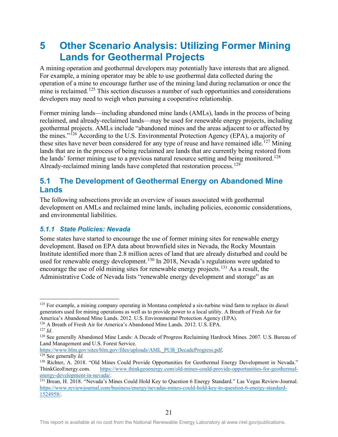# <span id="page-29-0"></span>**5 Other Scenario Analysis: Utilizing Former Mining Lands for Geothermal Projects**

A mining operation and geothermal developers may potentially have interests that are aligned. For example, a mining operator may be able to use geothermal data collected during the operation of a mine to encourage further use of the mining land during reclamation or once the mine is reclaimed.<sup>[125](#page-29-3)</sup> This section discusses a number of such opportunities and considerations developers may need to weigh when pursuing a cooperative relationship.

Former mining lands—including abandoned mine lands (AMLs), lands in the process of being reclaimed, and already-reclaimed lands—may be used for renewable energy projects, including geothermal projects. AMLs include "abandoned mines and the areas adjacent to or affected by the mines."<sup>[126](#page-29-4)</sup> According to the U.S. Environmental Protection Agency (EPA), a majority of these sites have never been considered for any type of reuse and have remained idle.<sup>127</sup> Mining lands that are in the process of being reclaimed are lands that are currently being restored from the lands' former mining use to a previous natural resource setting and being monitored.<sup>[128](#page-29-6)</sup> Already-reclaimed mining lands have completed that restoration process.<sup>[129](#page-29-7)</sup>

## <span id="page-29-1"></span>**5.1 The Development of Geothermal Energy on Abandoned Mine Lands**

The following subsections provide an overview of issues associated with geothermal development on AMLs and reclaimed mine lands, including policies, economic considerations, and environmental liabilities.

### <span id="page-29-2"></span>*5.1.1 State Policies: Nevada*

Some states have started to encourage the use of former mining sites for renewable energy development. Based on EPA data about brownfield sites in Nevada, the Rocky Mountain Institute identified more than 2.8 million acres of land that are already disturbed and could be used for renewable energy development.<sup>130</sup> In 2018, Nevada's regulations were updated to encourage the use of old mining sites for renewable energy projects.<sup>[131](#page-29-9)</sup> As a result, the Administrative Code of Nevada lists "renewable energy development and storage" as an

<span id="page-29-4"></span><sup>126</sup> A Breath of Fresh Air for America's Abandoned Mine Lands*.* 2012*.* U.S. EPA. 127 *Id.*

[https://www.blm.gov/sites/blm.gov/files/uploads/AML\\_PUB\\_DecadeProgress.pdf.](https://www.blm.gov/sites/blm.gov/files/uploads/AML_PUB_DecadeProgress.pdf) 129 See generally *Id.*

<span id="page-29-3"></span><sup>&</sup>lt;sup>125</sup> For example, a mining company operating in Montana completed a six-turbine wind farm to replace its diesel generators used for mining operations as well as to provide power to a local utility. A Breath of Fresh Air for America's Abandoned Mine Lands. 2012. U.S. Environmental Protection Agency (EPA).

<span id="page-29-5"></span>

<span id="page-29-6"></span><sup>128</sup> See generally Abandoned Mine Lands: A Decade of Progress Reclaiming Hardrock Mines*.* 2007*.* U.S. Bureau of Land Management and U.S. Forest Service.

<span id="page-29-8"></span><span id="page-29-7"></span><sup>130</sup> Richter, A. 2018. "Old Mines Could Provide Opportunities for Geothermal Energy Development in Nevada." ThinkGeoEnergy.com. [https://www.thinkgeoenergy.com/old-mines-could-provide-opportunities-for-geothermal](https://www.thinkgeoenergy.com/old-mines-could-provide-opportunities-for-geothermal-energy-development-in-nevada/)[energy-development-in-nevada/.](https://www.thinkgeoenergy.com/old-mines-could-provide-opportunities-for-geothermal-energy-development-in-nevada/)<br><sup>131</sup> Brean, H. 2018. "Nevada's Mines Could Hold Key to Question 6 Energy Standard." Las Vegas Review-Journal.

<span id="page-29-9"></span>[https://www.reviewjournal.com/business/energy/nevadas-mines-could-hold-key-to-question-6-energy-standard-](https://www.reviewjournal.com/business/energy/nevadas-mines-could-hold-key-to-question-6-energy-standard-1524958/)[1524958/.](https://www.reviewjournal.com/business/energy/nevadas-mines-could-hold-key-to-question-6-energy-standard-1524958/)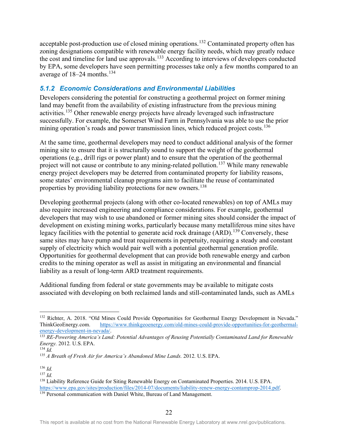acceptable post-production use of closed mining operations.<sup>132</sup> Contaminated property often has zoning designations compatible with renewable energy facility needs, which may greatly reduce the cost and timeline for land use approvals.<sup>133</sup> According to interviews of developers conducted by EPA, some developers have seen permitting processes take only a few months compared to an average of 18–24 months.<sup>[134](#page-30-3)</sup>

### <span id="page-30-0"></span>*5.1.2 Economic Considerations and Environmental Liabilities*

Developers considering the potential for constructing a geothermal project on former mining land may benefit from the availability of existing infrastructure from the previous mining activities.<sup>[135](#page-30-4)</sup> Other renewable energy projects have already leveraged such infrastructure successfully. For example, the Somerset Wind Farm in Pennsylvania was able to use the prior mining operation's roads and power transmission lines, which reduced project costs.<sup>[136](#page-30-5)</sup>

At the same time, geothermal developers may need to conduct additional analysis of the former mining site to ensure that it is structurally sound to support the weight of the geothermal operations (e.g., drill rigs or power plant) and to ensure that the operation of the geothermal project will not cause or contribute to any mining-related pollution.<sup>[137](#page-30-6)</sup> While many renewable energy project developers may be deterred from contaminated property for liability reasons, some states' environmental cleanup programs aim to facilitate the reuse of contaminated properties by providing liability protections for new owners.<sup>138</sup>

Developing geothermal projects (along with other co-located renewables) on top of AMLs may also require increased engineering and compliance considerations. For example, geothermal developers that may wish to use abandoned or former mining sites should consider the impact of development on existing mining works, particularly because many metalliferous mine sites have legacy facilities with the potential to generate acid rock drainage (ARD).<sup>[139](#page-30-8)</sup> Conversely, these same sites may have pump and treat requirements in perpetuity, requiring a steady and constant supply of electricity which would pair well with a potential geothermal generation profile. Opportunities for geothermal development that can provide both renewable energy and carbon credits to the mining operator as well as assist in mitigating an environmental and financial liability as a result of long-term ARD treatment requirements.

Additional funding from federal or state governments may be available to mitigate costs associated with developing on both reclaimed lands and still-contaminated lands, such as AMLs

<span id="page-30-1"></span><sup>&</sup>lt;sup>132</sup> Richter, A. 2018. "Old Mines Could Provide Opportunities for Geothermal Energy Development in Nevada."<br>ThinkGeoEnergy.com. https://www.thinkgeoenergy.com/old-mines-could-provide-opportunities-for-geothermal-ThinkGeoEnergy.com. https://www.thinkgeoenergy.com/old-mines-could-provide-opportunities-for-geothermal-<br>energy-development-in-nevada/

<span id="page-30-2"></span><sup>&</sup>lt;sup>133</sup> *RE-Powering America's Land: Potential Advantages of Reusing Potentially Contaminated Land for Renewable Energy.* 2012*.* U.S. EPA. 134 *Id.*

<span id="page-30-3"></span>

<span id="page-30-4"></span><sup>135</sup> *A Breath of Fresh Air for America's Abandoned Mine Lands.* 2012*.* U.S. EPA.

<span id="page-30-5"></span><sup>136</sup> *Id.*

<span id="page-30-6"></span><sup>137</sup> *Id.*

<span id="page-30-8"></span><span id="page-30-7"></span><sup>138</sup> Liability Reference Guide for Siting Renewable Energy on Contaminated Properties. 2014. U.S. EPA. [https://www.epa.gov/sites/production/files/2014-07/documents/liability-renew-energy-contamprop-2014.pdf.](https://www.epa.gov/sites/production/files/2014-07/documents/liability-renew-energy-contamprop-2014.pdf) 139 Personal communication with Daniel White, Bureau of Land Management.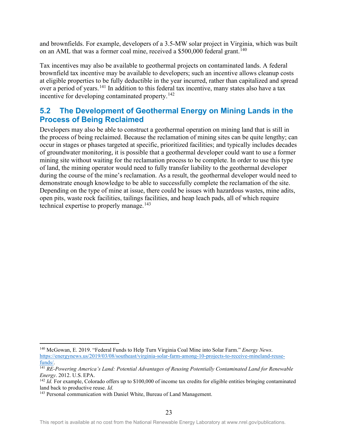and brownfields. For example, developers of a 3.5-MW solar project in Virginia, which was built on an AML that was a former coal mine, received a  $$500,000$  federal grant.<sup>[140](#page-31-1)</sup>

Tax incentives may also be available to geothermal projects on contaminated lands. A federal brownfield tax incentive may be available to developers; such an incentive allows cleanup costs at eligible properties to be fully deductible in the year incurred, rather than capitalized and spread over a period of years.[141](#page-31-2) In addition to this federal tax incentive, many states also have a tax incentive for developing contaminated property.<sup>[142](#page-31-3)</sup>

## <span id="page-31-0"></span>**5.2 The Development of Geothermal Energy on Mining Lands in the Process of Being Reclaimed**

Developers may also be able to construct a geothermal operation on mining land that is still in the process of being reclaimed. Because the reclamation of mining sites can be quite lengthy; can occur in stages or phases targeted at specific, prioritized facilities; and typically includes decades of groundwater monitoring, it is possible that a geothermal developer could want to use a former mining site without waiting for the reclamation process to be complete. In order to use this type of land, the mining operator would need to fully transfer liability to the geothermal developer during the course of the mine's reclamation. As a result, the geothermal developer would need to demonstrate enough knowledge to be able to successfully complete the reclamation of the site. Depending on the type of mine at issue, there could be issues with hazardous wastes, mine adits, open pits, waste rock facilities, tailings facilities, and heap leach pads, all of which require technical expertise to properly manage.<sup>[143](#page-31-4)</sup>

<span id="page-31-1"></span><sup>140</sup> McGowan, E. 2019. "Federal Funds to Help Turn Virginia Coal Mine into Solar Farm." *Energy News*. [https://energynews.us/2019/03/08/southeast/virginia-solar-farm-among-10-projects-to-receive-mineland-reuse-](https://energynews.us/2019/03/08/southeast/virginia-solar-farm-among-10-projects-to-receive-mineland-reuse-funds/)

<span id="page-31-2"></span>[funds/.](https://energynews.us/2019/03/08/southeast/virginia-solar-farm-among-10-projects-to-receive-mineland-reuse-funds/) 141 *RE-Powering America's Land: Potential Advantages of Reusing Potentially Contaminated Land for Renewable Energy*. 2012. U.S. EPA.<br><sup>142</sup> *Id.* For example, Colorado offers up to \$100,000 of income tax credits for eligible entities bringing contaminated

<span id="page-31-3"></span>land back to productive reuse. *Id.*

<span id="page-31-4"></span><sup>&</sup>lt;sup>143</sup> Personal communication with Daniel White, Bureau of Land Management.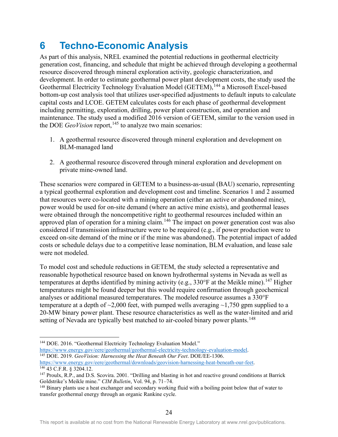# <span id="page-32-0"></span>**6 Techno-Economic Analysis**

As part of this analysis, NREL examined the potential reductions in geothermal electricity generation cost, financing, and schedule that might be achieved through developing a geothermal resource discovered through mineral exploration activity, geologic characterization, and development. In order to estimate geothermal power plant development costs, the study used the Geothermal Electricity Technology Evaluation Model (GETEM), <sup>[144](#page-32-1)</sup> a Microsoft Excel-based bottom-up cost analysis tool that utilizes user-specified adjustments to default inputs to calculate capital costs and LCOE. GETEM calculates costs for each phase of geothermal development including permitting, exploration, drilling, power plant construction, and operation and maintenance. The study used a modified 2016 version of GETEM, similar to the version used in the DOE *GeoVision* report,<sup>[145](#page-32-2)</sup> to analyze two main scenarios:

- 1. A geothermal resource discovered through mineral exploration and development on BLM-managed land
- 2. A geothermal resource discovered through mineral exploration and development on private mine-owned land.

These scenarios were compared in GETEM to a business-as-usual (BAU) scenario, representing a typical geothermal exploration and development cost and timeline. Scenarios 1 and 2 assumed that resources were co-located with a mining operation (either an active or abandoned mine), power would be used for on-site demand (where an active mine exists), and geothermal leases were obtained through the noncompetitive right to geothermal resources included within an approved plan of operation for a mining claim.<sup>[146](#page-32-3)</sup> The impact on power generation cost was also considered if transmission infrastructure were to be required (e.g., if power production were to exceed on-site demand of the mine or if the mine was abandoned). The potential impact of added costs or schedule delays due to a competitive lease nomination, BLM evaluation, and lease sale were not modeled.

To model cost and schedule reductions in GETEM, the study selected a representative and reasonable hypothetical resource based on known hydrothermal systems in Nevada as well as temperatures at depths identified by mining activity (e.g.,  $330^{\circ}$ F at the Meikle mine).<sup>147</sup> Higher temperatures might be found deeper but this would require confirmation through geochemical analyses or additional measured temperatures. The modeled resource assumes a 330°F temperature at a depth of  $\sim$ 2,000 feet, with pumped wells averaging  $\sim$ 1,750 gpm supplied to a 20-MW binary power plant. These resource characteristics as well as the water-limited and arid setting of Nevada are typically best matched to air-cooled binary power plants.<sup>[148](#page-32-5)</sup>

<span id="page-32-2"></span><span id="page-32-1"></span><sup>144</sup> DOE. 2016. "Geothermal Electricity Technology Evaluation Model."<br>https://www.energy.gov/eere/geothermal/geothermal-electricity-technology-evaluation-model. <sup>145</sup> DOE. 2019. GeoVision: Harnessing the Heat Beneath Our Feet. DOE/EE-1306. [https://www.energy.gov/eere/geothermal/downloads/geovision-harnessing-heat-beneath-our-feet.](https://www.energy.gov/eere/geothermal/downloads/geovision-harnessing-heat-beneath-our-feet) 146 43 C.F.R. § 3204.12.

<span id="page-32-4"></span><span id="page-32-3"></span><sup>&</sup>lt;sup>147</sup> Proulx, R.P., and D.S. Scovira. 2001. "Drilling and blasting in hot and reactive ground conditions at Barrick Goldstrike's Meikle mine." *CIM Bulletin*, Vol. 94, p. 71–74.

<span id="page-32-5"></span><sup>&</sup>lt;sup>148</sup> Binary plants use a heat exchanger and secondary working fluid with a boiling point below that of water to transfer geothermal energy through an organic Rankine cycle.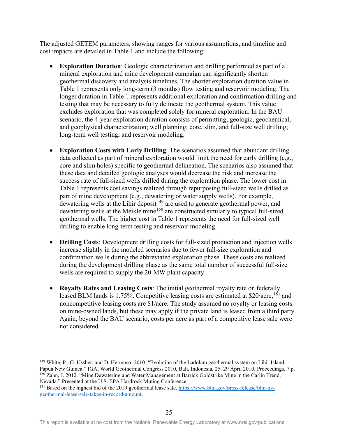The adjusted GETEM parameters, showing ranges for various assumptions, and timeline and cost impacts are detailed in [Table 1](#page-35-0) and include the following:

- **Exploration Duration**: Geologic characterization and drilling performed as part of a mineral exploration and mine development campaign can significantly shorten geothermal discovery and analysis timelines. The shorter exploration duration value in [Table 1](#page-35-0) represents only long-term (3 months) flow testing and reservoir modeling. The longer duration in [Table 1](#page-35-0) represents additional exploration and confirmation drilling and testing that may be necessary to fully delineate the geothermal system. This value excludes exploration that was completed solely for mineral exploration. In the BAU scenario, the 4-year exploration duration consists of permitting; geologic, geochemical, and geophysical characterization; well planning; core, slim, and full-size well drilling; long-term well testing; and reservoir modeling.
- **Exploration Costs with Early Drilling**: The scenarios assumed that abundant drilling data collected as part of mineral exploration would limit the need for early drilling (e.g., core and slim holes) specific to geothermal delineation. The scenarios also assumed that these data and detailed geologic analyses would decrease the risk and increase the success rate of full-sized wells drilled during the exploration phase. The lower cost in [Table 1](#page-35-0) represents cost savings realized through repurposing full-sized wells drilled as part of mine development (e.g., dewatering or water supply wells). For example, dewatering wells at the Lihir deposit<sup>[149](#page-33-0)</sup> are used to generate geothermal power, and dewatering wells at the Meikle mine<sup>[150](#page-33-1)</sup> are constructed similarly to typical full-sized geothermal wells. The higher cost in [Table 1](#page-35-0) represents the need for full-sized well drilling to enable long-term testing and reservoir modeling.
- **Drilling Costs**: Development drilling costs for full-sized production and injection wells increase slightly in the modeled scenarios due to fewer full-size exploration and confirmation wells during the abbreviated exploration phase. These costs are realized during the development drilling phase as the same total number of successful full-size wells are required to supply the 20-MW plant capacity.
- **Royalty Rates and Leasing Costs**: The initial geothermal royalty rate on federally leased BLM lands is 1.75%. Competitive leasing costs are estimated at \$20/acre, <sup>151</sup> and noncompetitive leasing costs are \$1/acre. The study assumed no royalty or leasing costs on mine-owned lands, but these may apply if the private land is leased from a third party. Again, beyond the BAU scenario, costs per acre as part of a competitive lease sale were not considered.

<span id="page-33-0"></span><sup>149</sup> White, P., G. Ussher, and D. Hermoso. 2010. "Evolution of the Ladolam geothermal system on Lihir Island, Papua New Guinea." IGA, World Geothermal Congress 2010, Bali, Indonesia, 25–29 April 2010, Proceedings, 7 p. <sup>150</sup> Zahn, J. 2012. "Mine Dewatering and Water Management at Barrick Goldstrike Mine in the Carlin Trend, Nevada." Presented at the U.S. EPA Hardrock Mining Conference.

<span id="page-33-2"></span><span id="page-33-1"></span><sup>151</sup> Based on the highest bid of the 2019 geothermal lease sale[. https://www.blm.gov/press-release/blm-nv](https://www.blm.gov/press-release/blm-nv-geothermal-lease-sale-takes-in-record-amount)[geothermal-lease-sale-takes-in-record-amount.](https://www.blm.gov/press-release/blm-nv-geothermal-lease-sale-takes-in-record-amount)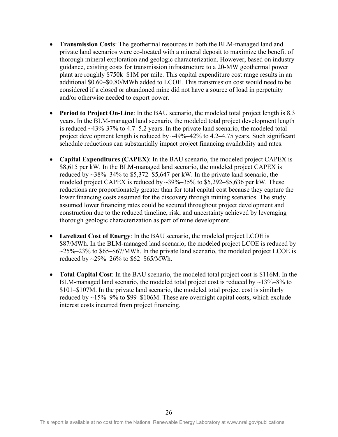- **Transmission Costs**: The geothermal resources in both the BLM-managed land and private land scenarios were co-located with a mineral deposit to maximize the benefit of thorough mineral exploration and geologic characterization. However, based on industry guidance, existing costs for transmission infrastructure to a 20-MW geothermal power plant are roughly \$750k–\$1M per mile. This capital expenditure cost range results in an additional \$0.60–\$0.80/MWh added to LCOE. This transmission cost would need to be considered if a closed or abandoned mine did not have a source of load in perpetuity and/or otherwise needed to export power.
- **Period to Project On-Line**: In the BAU scenario, the modeled total project length is 8.3 years. In the BLM-managed land scenario, the modeled total project development length is reduced ~43%-37% to 4.7–5.2 years. In the private land scenario, the modeled total project development length is reduced by  $\sim$ 49%–42% to 4.2–4.75 years. Such significant schedule reductions can substantially impact project financing availability and rates.
- **Capital Expenditures (CAPEX)**: In the BAU scenario, the modeled project CAPEX is \$8,615 per kW. In the BLM-managed land scenario, the modeled project CAPEX is reduced by  $\sim$ 38%–34% to \$5,372–\$5,647 per kW. In the private land scenario, the modeled project CAPEX is reduced by  $\sim$ 39%–35% to \$5,292–\$5,636 per kW. These reductions are proportionately greater than for total capital cost because they capture the lower financing costs assumed for the discovery through mining scenarios. The study assumed lower financing rates could be secured throughout project development and construction due to the reduced timeline, risk, and uncertainty achieved by leveraging thorough geologic characterization as part of mine development.
- **Levelized Cost of Energy**: In the BAU scenario, the modeled project LCOE is \$87/MWh. In the BLM-managed land scenario, the modeled project LCOE is reduced by  $\sim$ 25%–23% to \$65–\$67/MWh. In the private land scenario, the modeled project LCOE is reduced by ~29%–26% to \$62–\$65/MWh.
- **Total Capital Cost**: In the BAU scenario, the modeled total project cost is \$116M. In the BLM-managed land scenario, the modeled total project cost is reduced by  $\sim$ 13%–8% to \$101–\$107M. In the private land scenario, the modeled total project cost is similarly reduced by  $\sim$ 15%–9% to \$99–\$106M. These are overnight capital costs, which exclude interest costs incurred from project financing.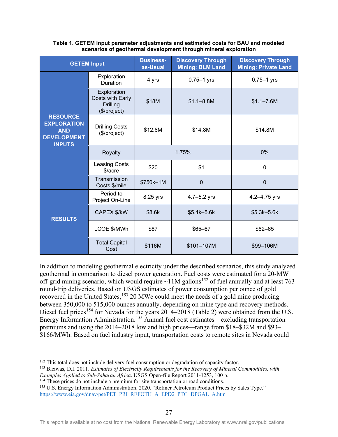| <b>GETEM Input</b>                                                                         |                                                                           | <b>Business-</b><br>as-Usual | <b>Discovery Through</b><br><b>Mining: BLM Land</b> | <b>Discovery Through</b><br><b>Mining: Private Land</b> |
|--------------------------------------------------------------------------------------------|---------------------------------------------------------------------------|------------------------------|-----------------------------------------------------|---------------------------------------------------------|
|                                                                                            | Exploration<br><b>Duration</b>                                            | 4 yrs                        | $0.75 - 1$ yrs                                      | $0.75 - 1$ yrs                                          |
|                                                                                            | Exploration<br><b>Costs with Early</b><br><b>Drilling</b><br>(\$/project) | \$18M                        | $$1.1 - 8.8M$                                       | $$1.1 - 7.6M$                                           |
| <b>RESOURCE</b><br><b>EXPLORATION</b><br><b>AND</b><br><b>DEVELOPMENT</b><br><b>INPUTS</b> | <b>Drilling Costs</b><br>(\$/project)                                     | \$12.6M                      | \$14.8M                                             | \$14.8M                                                 |
|                                                                                            | Royalty                                                                   | 1.75%                        |                                                     | 0%                                                      |
|                                                                                            | <b>Leasing Costs</b><br>\$/acre                                           | \$20                         | \$1                                                 | 0                                                       |
|                                                                                            | Transmission<br>Costs \$/mile                                             | \$750k-1M                    | $\mathbf 0$                                         | $\mathbf{0}$                                            |
|                                                                                            | Period to<br>Project On-Line                                              | 8.25 yrs                     | $4.7 - 5.2$ yrs                                     | 4.2-4.75 yrs                                            |
| <b>RESULTS</b>                                                                             | CAPEX \$/kW                                                               | \$8.6k                       | $$5.4k - 5.6k$                                      | $$5.3k - 5.6k$                                          |
|                                                                                            | LCOE \$/MWh                                                               | \$87                         | $$65 - 67$                                          | $$62 - 65$                                              |
|                                                                                            | <b>Total Capital</b><br>Cost                                              | \$116M                       | \$101-107M                                          | \$99-106M                                               |

#### <span id="page-35-0"></span>**Table 1. GETEM input parameter adjustments and estimated costs for BAU and modeled scenarios of geothermal development through mineral exploration**

In addition to modeling geothermal electricity under the described scenarios, this study analyzed geothermal in comparison to diesel power generation. Fuel costs were estimated for a 20-MW off-grid mining scenario, which would require  $\sim$ 11M gallons<sup>[152](#page-35-1)</sup> of fuel annually and at least 763 round-trip deliveries. Based on USGS estimates of power consumption per ounce of gold recovered in the United States,<sup>[153](#page-35-2)</sup> 20 MWe could meet the needs of a gold mine producing between 350,000 to 515,000 ounces annually, depending on mine type and recovery methods. Diesel fuel prices<sup>154</sup> for Nevada for the years 2014–2018 [\(Table 2\)](#page-36-0) were obtained from the U.S. Energy Information Administration.<sup>[155](#page-35-4)</sup> Annual fuel cost estimates—excluding transportation premiums and using the 2014–2018 low and high prices—range from \$18–\$32M and \$93– \$166/MWh. Based on fuel industry input, transportation costs to remote sites in Nevada could

<span id="page-35-3"></span><sup>154</sup> These prices do not include a premium for site transportation or road conditions.

<span id="page-35-4"></span><sup>155</sup> U.S. Energy Information Administration. 2020. "Refiner Petroleum Product Prices by Sales Type." [https://www.eia.gov/dnav/pet/PET\\_PRI\\_REFOTH\\_A\\_EPD2\\_PTG\\_DPGAL\\_A.htm](https://www.eia.gov/dnav/pet/PET_PRI_REFOTH_A_EPD2_PTG_DPGAL_A.htm)

<span id="page-35-2"></span><span id="page-35-1"></span><sup>&</sup>lt;sup>152</sup> This total does not include delivery fuel consumption or degradation of capacity factor.<br><sup>153</sup> Bleiwas, D.I. 2011. *Estimates of Electricity Requirements for the Recovery of Mineral Commodities, with Examples Applied to Sub-Saharan Africa*. USGS Open-file Report 2011-1253, 100 p.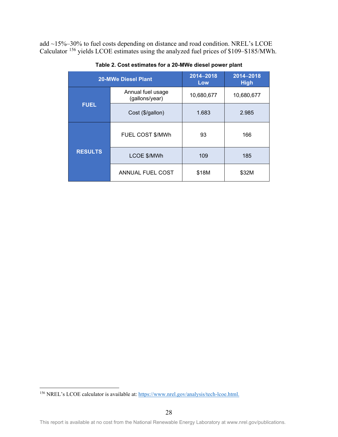<span id="page-36-0"></span>add ~15%–30% to fuel costs depending on distance and road condition. NREL's LCOE Calculator <sup>[156](#page-36-1)</sup> yields LCOE estimates using the analyzed fuel prices of \$109–\$185/MWh.

|                | <b>20-MWe Diesel Plant</b>          | 2014-2018<br>Low | 2014-2018<br><b>High</b> |
|----------------|-------------------------------------|------------------|--------------------------|
|                | Annual fuel usage<br>(gallons/year) | 10,680,677       | 10,680,677               |
| <b>FUEL</b>    | Cost (\$/gallon)                    | 1.683            | 2.985                    |
|                | FUEL COST \$/MWh                    | 93               | 166                      |
| <b>RESULTS</b> | LCOE \$/MWh                         | 109              | 185                      |
|                | <b>ANNUAL FUEL COST</b>             | \$18M            | \$32M                    |

**Table 2. Cost estimates for a 20-MWe diesel power plant**

<span id="page-36-1"></span><sup>156</sup> NREL's LCOE calculator is available at: [https://www.nrel.gov/analysis/tech-lcoe.html.](https://www.nrel.gov/analysis/tech-lcoe.html)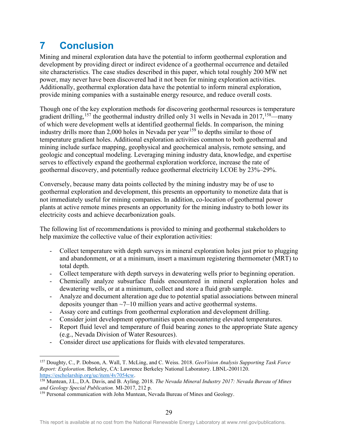# <span id="page-37-0"></span>**7 Conclusion**

Mining and mineral exploration data have the potential to inform geothermal exploration and development by providing direct or indirect evidence of a geothermal occurrence and detailed site characteristics. The case studies described in this paper, which total roughly 200 MW net power, may never have been discovered had it not been for mining exploration activities. Additionally, geothermal exploration data have the potential to inform mineral exploration, provide mining companies with a sustainable energy resource, and reduce overall costs.

Though one of the key exploration methods for discovering geothermal resources is temperature gradient drilling,<sup>[157](#page-37-1)</sup> the geothermal industry drilled only 31 wells in Nevada in 2017,<sup>158</sup>—many of which were development wells at identified geothermal fields. In comparison, the mining industry drills more than 2,000 holes in Nevada per year<sup>[159](#page-37-3)</sup> to depths similar to those of temperature gradient holes. Additional exploration activities common to both geothermal and mining include surface mapping, geophysical and geochemical analysis, remote sensing, and geologic and conceptual modeling. Leveraging mining industry data, knowledge, and expertise serves to effectively expand the geothermal exploration workforce, increase the rate of geothermal discovery, and potentially reduce geothermal electricity LCOE by 23%–29%.

Conversely, because many data points collected by the mining industry may be of use to geothermal exploration and development, this presents an opportunity to monetize data that is not immediately useful for mining companies. In addition, co-location of geothermal power plants at active remote mines presents an opportunity for the mining industry to both lower its electricity costs and achieve decarbonization goals.

The following list of recommendations is provided to mining and geothermal stakeholders to help maximize the collective value of their exploration activities:

- Collect temperature with depth surveys in mineral exploration holes just prior to plugging and abandonment, or at a minimum, insert a maximum registering thermometer (MRT) to total depth.
- Collect temperature with depth surveys in dewatering wells prior to beginning operation.
- Chemically analyze subsurface fluids encountered in mineral exploration holes and dewatering wells, or at a minimum, collect and store a fluid grab sample.
- Analyze and document alteration age due to potential spatial associations between mineral deposits younger than  $\sim$ 7–10 million years and active geothermal systems.
- Assay core and cuttings from geothermal exploration and development drilling.
- Consider joint development opportunities upon encountering elevated temperatures.
- Report fluid level and temperature of fluid bearing zones to the appropriate State agency (e.g., Nevada Division of Water Resources).
- Consider direct use applications for fluids with elevated temperatures.

<span id="page-37-1"></span><sup>157</sup> Doughty, C., P. Dobson, A. Wall, T. McLing, and C. Weiss. 2018. *GeoVision Analysis Supporting Task Force Report: Exploration*. Berkeley, CA: Lawrence Berkeley National Laboratory. LBNL-2001120. [https://escholarship.org/uc/item/4v7054cw.](https://escholarship.org/uc/item/4v7054cw) 158 Muntean, J.L., D.A. Davis, and B. Ayling. 2018. *The Nevada Mineral Industry 2017: Nevada Bureau of Mines* 

<span id="page-37-2"></span>*and Geology Special Publication.* MI-2017, 212 p.

<span id="page-37-3"></span><sup>&</sup>lt;sup>159</sup> Personal communication with John Muntean, Nevada Bureau of Mines and Geology.